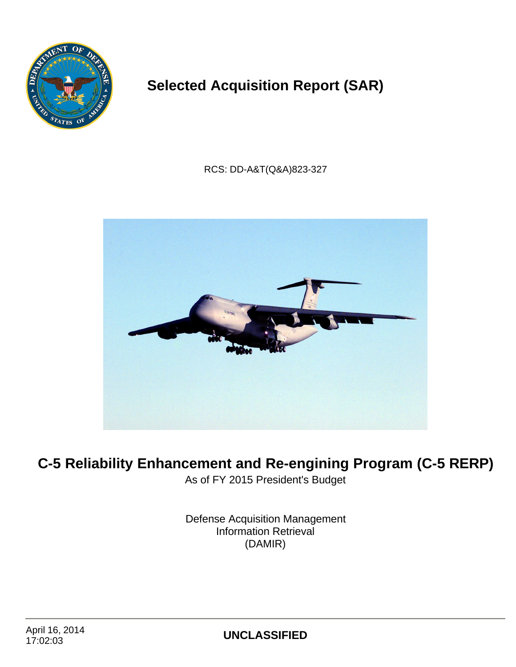

# **Selected Acquisition Report (SAR)**

RCS: DD-A&T(Q&A)823-327



# **C-5 Reliability Enhancement and Re-engining Program (C-5 RERP)**

As of FY 2015 President's Budget

Defense Acquisition Management Information Retrieval (DAMIR)

17:02:03 **UNCLASSIFIED**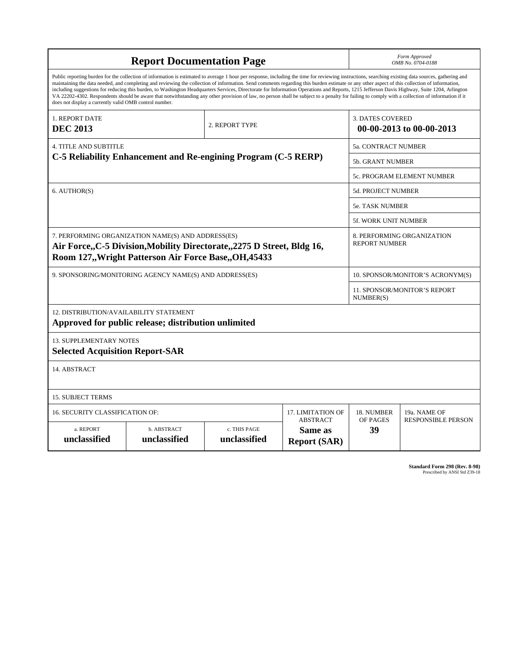|                                                                                                                                                                                                                                                                                                                                                                                                                                                                                                                                                                                                                                                                                                                                                                                                                                                                    |                                                                | Form Approved<br>OMB No. 0704-0188 |                   |                                                  |                                  |  |  |  |
|--------------------------------------------------------------------------------------------------------------------------------------------------------------------------------------------------------------------------------------------------------------------------------------------------------------------------------------------------------------------------------------------------------------------------------------------------------------------------------------------------------------------------------------------------------------------------------------------------------------------------------------------------------------------------------------------------------------------------------------------------------------------------------------------------------------------------------------------------------------------|----------------------------------------------------------------|------------------------------------|-------------------|--------------------------------------------------|----------------------------------|--|--|--|
| Public reporting burden for the collection of information is estimated to average 1 hour per response, including the time for reviewing instructions, searching existing data sources, gathering and<br>maintaining the data needed, and completing and reviewing the collection of information. Send comments regarding this burden estimate or any other aspect of this collection of information,<br>including suggestions for reducing this burden, to Washington Headquarters Services, Directorate for Information Operations and Reports, 1215 Jefferson Davis Highway, Suite 1204, Arlington<br>VA 22202-4302. Respondents should be aware that notwithstanding any other provision of law, no person shall be subject to a penalty for failing to comply with a collection of information if it<br>does not display a currently valid OMB control number. |                                                                |                                    |                   |                                                  |                                  |  |  |  |
| 1. REPORT DATE<br><b>DEC 2013</b>                                                                                                                                                                                                                                                                                                                                                                                                                                                                                                                                                                                                                                                                                                                                                                                                                                  | <b>3. DATES COVERED</b><br>00-00-2013 to 00-00-2013            |                                    |                   |                                                  |                                  |  |  |  |
| <b>4. TITLE AND SUBTITLE</b>                                                                                                                                                                                                                                                                                                                                                                                                                                                                                                                                                                                                                                                                                                                                                                                                                                       |                                                                |                                    |                   | <b>5a. CONTRACT NUMBER</b>                       |                                  |  |  |  |
|                                                                                                                                                                                                                                                                                                                                                                                                                                                                                                                                                                                                                                                                                                                                                                                                                                                                    | C-5 Reliability Enhancement and Re-engining Program (C-5 RERP) |                                    |                   | 5b. GRANT NUMBER                                 |                                  |  |  |  |
|                                                                                                                                                                                                                                                                                                                                                                                                                                                                                                                                                                                                                                                                                                                                                                                                                                                                    |                                                                |                                    |                   |                                                  | 5c. PROGRAM ELEMENT NUMBER       |  |  |  |
| 6. AUTHOR(S)                                                                                                                                                                                                                                                                                                                                                                                                                                                                                                                                                                                                                                                                                                                                                                                                                                                       |                                                                |                                    |                   | <b>5d. PROJECT NUMBER</b>                        |                                  |  |  |  |
|                                                                                                                                                                                                                                                                                                                                                                                                                                                                                                                                                                                                                                                                                                                                                                                                                                                                    |                                                                |                                    |                   | 5e. TASK NUMBER                                  |                                  |  |  |  |
|                                                                                                                                                                                                                                                                                                                                                                                                                                                                                                                                                                                                                                                                                                                                                                                                                                                                    |                                                                |                                    |                   | 5f. WORK UNIT NUMBER                             |                                  |  |  |  |
| 7. PERFORMING ORGANIZATION NAME(S) AND ADDRESS(ES)<br>8. PERFORMING ORGANIZATION<br><b>REPORT NUMBER</b><br>Air Force, C-5 Division, Mobility Directorate, 2275 D Street, Bldg 16,<br>Room 127,, Wright Patterson Air Force Base, OH, 45433                                                                                                                                                                                                                                                                                                                                                                                                                                                                                                                                                                                                                        |                                                                |                                    |                   |                                                  |                                  |  |  |  |
|                                                                                                                                                                                                                                                                                                                                                                                                                                                                                                                                                                                                                                                                                                                                                                                                                                                                    | 9. SPONSORING/MONITORING AGENCY NAME(S) AND ADDRESS(ES)        |                                    |                   |                                                  | 10. SPONSOR/MONITOR'S ACRONYM(S) |  |  |  |
|                                                                                                                                                                                                                                                                                                                                                                                                                                                                                                                                                                                                                                                                                                                                                                                                                                                                    |                                                                |                                    |                   | <b>11. SPONSOR/MONITOR'S REPORT</b><br>NUMBER(S) |                                  |  |  |  |
| 12. DISTRIBUTION/AVAILABILITY STATEMENT                                                                                                                                                                                                                                                                                                                                                                                                                                                                                                                                                                                                                                                                                                                                                                                                                            | Approved for public release; distribution unlimited            |                                    |                   |                                                  |                                  |  |  |  |
| <b>13. SUPPLEMENTARY NOTES</b><br><b>Selected Acquisition Report-SAR</b>                                                                                                                                                                                                                                                                                                                                                                                                                                                                                                                                                                                                                                                                                                                                                                                           |                                                                |                                    |                   |                                                  |                                  |  |  |  |
| 14. ABSTRACT                                                                                                                                                                                                                                                                                                                                                                                                                                                                                                                                                                                                                                                                                                                                                                                                                                                       |                                                                |                                    |                   |                                                  |                                  |  |  |  |
| <b>15. SUBJECT TERMS</b>                                                                                                                                                                                                                                                                                                                                                                                                                                                                                                                                                                                                                                                                                                                                                                                                                                           |                                                                |                                    |                   |                                                  |                                  |  |  |  |
| <b>16. SECURITY CLASSIFICATION OF:</b>                                                                                                                                                                                                                                                                                                                                                                                                                                                                                                                                                                                                                                                                                                                                                                                                                             |                                                                |                                    | 17. LIMITATION OF | 18. NUMBER                                       | 19a. NAME OF                     |  |  |  |
| <b>ABSTRACT</b><br>c. THIS PAGE<br>a. REPORT<br>b. ABSTRACT<br>Same as<br>unclassified<br>unclassified<br>unclassified<br><b>Report (SAR)</b>                                                                                                                                                                                                                                                                                                                                                                                                                                                                                                                                                                                                                                                                                                                      |                                                                |                                    |                   | OF PAGES<br>39                                   | <b>RESPONSIBLE PERSON</b>        |  |  |  |

| Standard Form 298 (Rev. 8-98) |
|-------------------------------|
| Prescribed by ANSI Std Z39-18 |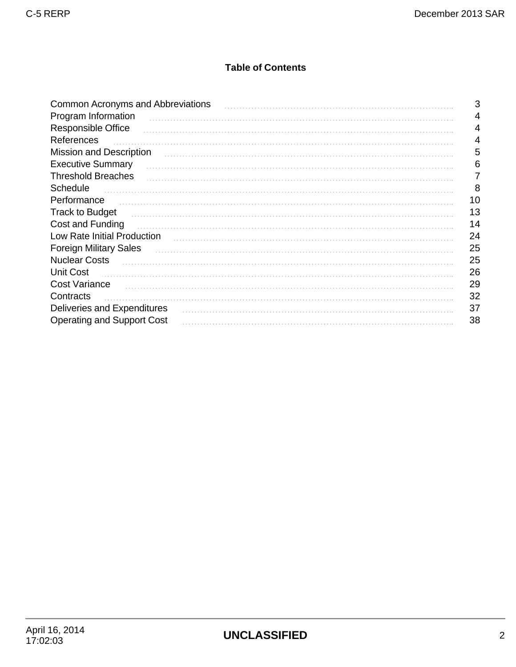## **Table of Contents**

| <b>Common Acronyms and Abbreviations</b> | 3  |
|------------------------------------------|----|
| Program Information                      | 4  |
| Responsible Office                       | 4  |
| References                               | 4  |
| <b>Mission and Description</b>           | 5  |
| <b>Executive Summary</b>                 | 6  |
| <b>Threshold Breaches</b>                |    |
| <b>Schedule</b>                          | 8  |
| Performance                              | 10 |
| <b>Track to Budget</b>                   | 13 |
| Cost and Funding                         | 14 |
| Low Rate Initial Production              | 24 |
| <b>Foreign Military Sales</b>            | 25 |
| <b>Nuclear Costs</b>                     | 25 |
| <b>Unit Cost</b>                         | 26 |
| <b>Cost Variance</b>                     | 29 |
| Contracts                                | 32 |
| Deliveries and Expenditures              | 37 |
| <b>Operating and Support Cost</b>        | 38 |
|                                          |    |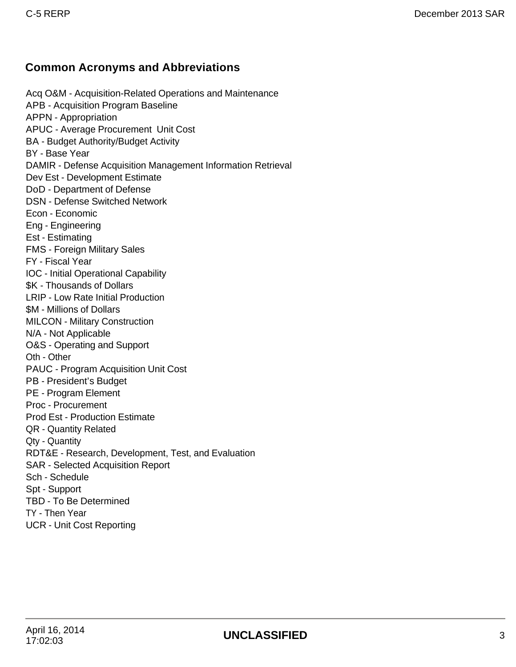## **Common Acronyms and Abbreviations**

Acq O&M - Acquisition-Related Operations and Maintenance APB - Acquisition Program Baseline APPN - Appropriation APUC - Average Procurement Unit Cost BA - Budget Authority/Budget Activity BY - Base Year DAMIR - Defense Acquisition Management Information Retrieval Dev Est - Development Estimate DoD - Department of Defense DSN - Defense Switched Network Econ - Economic Eng - Engineering Est - Estimating FMS - Foreign Military Sales FY - Fiscal Year IOC - Initial Operational Capability \$K - Thousands of Dollars LRIP - Low Rate Initial Production \$M - Millions of Dollars MILCON - Military Construction N/A - Not Applicable O&S - Operating and Support Oth - Other PAUC - Program Acquisition Unit Cost PB - President's Budget PE - Program Element Proc - Procurement Prod Est - Production Estimate QR - Quantity Related Qty - Quantity RDT&E - Research, Development, Test, and Evaluation SAR - Selected Acquisition Report Sch - Schedule Spt - Support TBD - To Be Determined TY - Then Year UCR - Unit Cost Reporting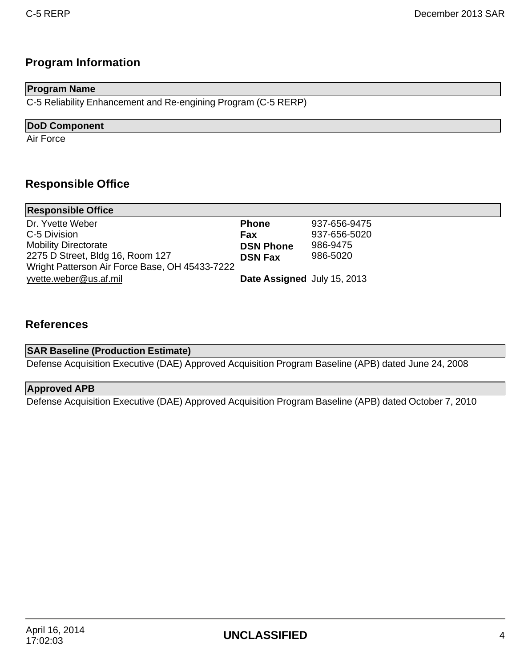# **Program Information**

### **Program Name**

C-5 Reliability Enhancement and Re-engining Program (C-5 RERP)

### **DoD Component**

Air Force

## **Responsible Office**

| <b>Responsible Office</b>                      |                             |              |
|------------------------------------------------|-----------------------------|--------------|
| Dr. Yvette Weber                               | <b>Phone</b>                | 937-656-9475 |
| C-5 Division                                   | Fax                         | 937-656-5020 |
| <b>Mobility Directorate</b>                    | <b>DSN Phone</b>            | 986-9475     |
| 2275 D Street, Bldg 16, Room 127               | <b>DSN Fax</b>              | 986-5020     |
| Wright Patterson Air Force Base, OH 45433-7222 |                             |              |
| yvette.weber@us.af.mil                         | Date Assigned July 15, 2013 |              |

### **References**

| <b>SAR Baseline (Production Estimate)</b>                                                           |  |
|-----------------------------------------------------------------------------------------------------|--|
| Defense Acquisition Executive (DAE) Approved Acquisition Program Baseline (APB) dated June 24, 2008 |  |

### **Approved APB**

Defense Acquisition Executive (DAE) Approved Acquisition Program Baseline (APB) dated October 7, 2010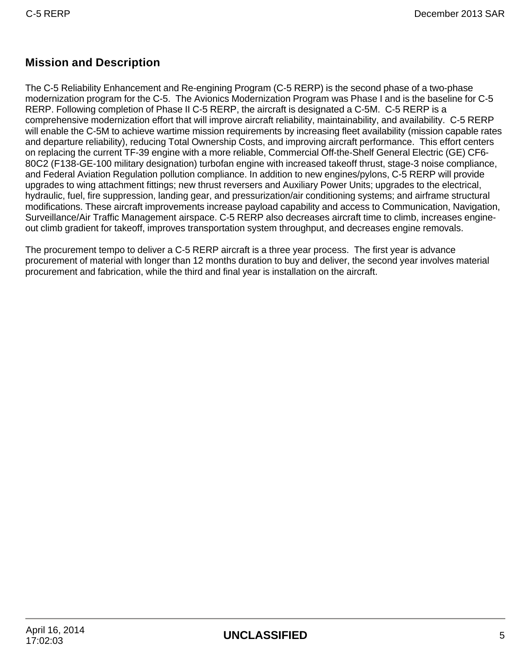## **Mission and Description**

The C-5 Reliability Enhancement and Re-engining Program (C-5 RERP) is the second phase of a two-phase modernization program for the C-5. The Avionics Modernization Program was Phase I and is the baseline for C-5 RERP. Following completion of Phase II C-5 RERP, the aircraft is designated a C-5M. C-5 RERP is a comprehensive modernization effort that will improve aircraft reliability, maintainability, and availability. C-5 RERP will enable the C-5M to achieve wartime mission requirements by increasing fleet availability (mission capable rates and departure reliability), reducing Total Ownership Costs, and improving aircraft performance. This effort centers on replacing the current TF-39 engine with a more reliable, Commercial Off-the-Shelf General Electric (GE) CF6- 80C2 (F138-GE-100 military designation) turbofan engine with increased takeoff thrust, stage-3 noise compliance, and Federal Aviation Regulation pollution compliance. In addition to new engines/pylons, C-5 RERP will provide upgrades to wing attachment fittings; new thrust reversers and Auxiliary Power Units; upgrades to the electrical, hydraulic, fuel, fire suppression, landing gear, and pressurization/air conditioning systems; and airframe structural modifications. These aircraft improvements increase payload capability and access to Communication, Navigation, Surveillance/Air Traffic Management airspace. C-5 RERP also decreases aircraft time to climb, increases engineout climb gradient for takeoff, improves transportation system throughput, and decreases engine removals.

The procurement tempo to deliver a C-5 RERP aircraft is a three year process. The first year is advance procurement of material with longer than 12 months duration to buy and deliver, the second year involves material procurement and fabrication, while the third and final year is installation on the aircraft.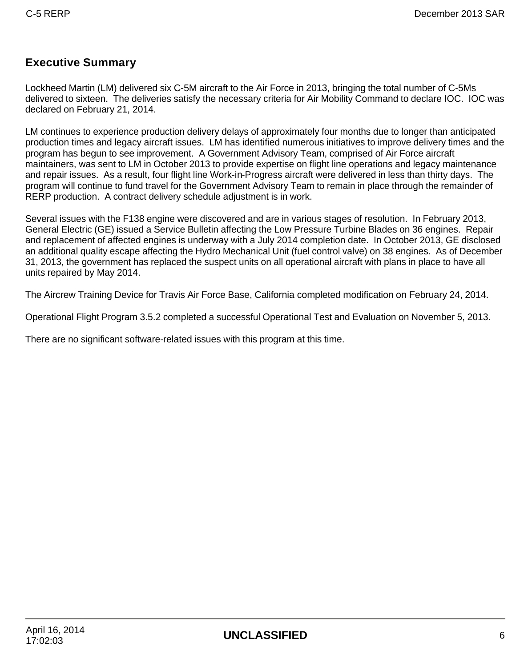## **Executive Summary**

Lockheed Martin (LM) delivered six C-5M aircraft to the Air Force in 2013, bringing the total number of C-5Ms delivered to sixteen. The deliveries satisfy the necessary criteria for Air Mobility Command to declare IOC. IOC was declared on February 21, 2014.

LM continues to experience production delivery delays of approximately four months due to longer than anticipated production times and legacy aircraft issues. LM has identified numerous initiatives to improve delivery times and the program has begun to see improvement. A Government Advisory Team, comprised of Air Force aircraft maintainers, was sent to LM in October 2013 to provide expertise on flight line operations and legacy maintenance and repair issues. As a result, four flight line Work-in-Progress aircraft were delivered in less than thirty days. The program will continue to fund travel for the Government Advisory Team to remain in place through the remainder of RERP production. A contract delivery schedule adjustment is in work.

Several issues with the F138 engine were discovered and are in various stages of resolution. In February 2013, General Electric (GE) issued a Service Bulletin affecting the Low Pressure Turbine Blades on 36 engines. Repair and replacement of affected engines is underway with a July 2014 completion date. In October 2013, GE disclosed an additional quality escape affecting the Hydro Mechanical Unit (fuel control valve) on 38 engines. As of December 31, 2013, the government has replaced the suspect units on all operational aircraft with plans in place to have all units repaired by May 2014.

The Aircrew Training Device for Travis Air Force Base, California completed modification on February 24, 2014.

Operational Flight Program 3.5.2 completed a successful Operational Test and Evaluation on November 5, 2013.

There are no significant software-related issues with this program at this time.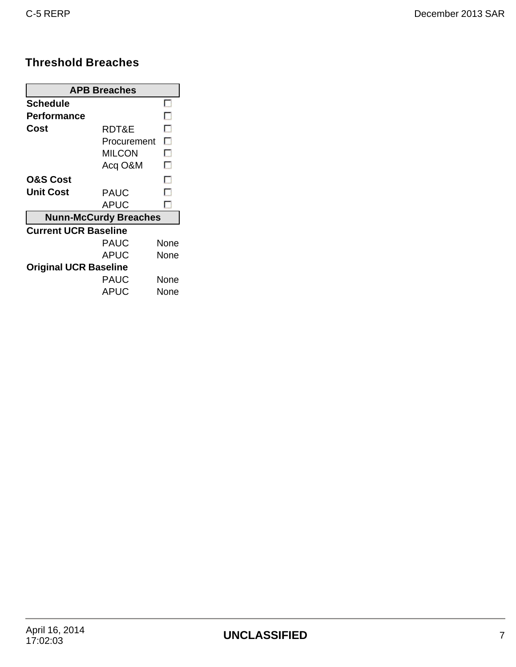## **Threshold Breaches**

| <b>APB Breaches</b>          |                              |      |  |  |  |
|------------------------------|------------------------------|------|--|--|--|
| Schedule                     |                              |      |  |  |  |
| <b>Performance</b>           |                              | . .  |  |  |  |
| Cost                         | RDT&E                        | . .  |  |  |  |
|                              | Procurement                  | П    |  |  |  |
|                              | MILCON                       | П    |  |  |  |
|                              | Acq O&M                      | г.   |  |  |  |
| <b>O&amp;S Cost</b>          |                              | . .  |  |  |  |
| Unit Cost                    | <b>PAUC</b>                  | . .  |  |  |  |
|                              | APUC                         |      |  |  |  |
|                              | <b>Nunn-McCurdy Breaches</b> |      |  |  |  |
| <b>Current UCR Baseline</b>  |                              |      |  |  |  |
|                              | PAUC                         | None |  |  |  |
|                              | <b>APUC</b>                  | None |  |  |  |
| <b>Original UCR Baseline</b> |                              |      |  |  |  |
|                              | PAUC                         | None |  |  |  |
|                              | APUC                         | None |  |  |  |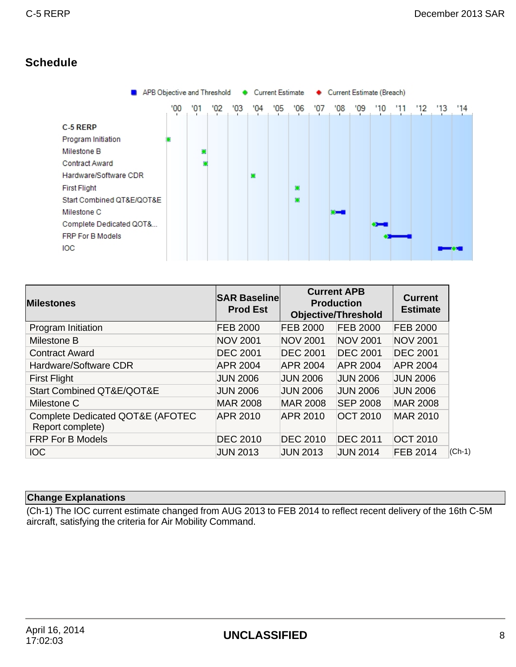## **Schedule**



| <b>Milestones</b>                                    | <b>SAR Baseline</b><br><b>Prod Est</b> |                 | <b>Current APB</b><br><b>Production</b><br><b>Objective/Threshold</b> | <b>Current</b><br><b>Estimate</b> |
|------------------------------------------------------|----------------------------------------|-----------------|-----------------------------------------------------------------------|-----------------------------------|
| Program Initiation                                   | <b>FEB 2000</b>                        | <b>FEB 2000</b> | <b>FEB 2000</b>                                                       | <b>FEB 2000</b>                   |
| Milestone B                                          | <b>NOV 2001</b>                        | <b>NOV 2001</b> | <b>NOV 2001</b>                                                       | <b>NOV 2001</b>                   |
| <b>Contract Award</b>                                | <b>DEC 2001</b>                        | <b>DEC 2001</b> | <b>DEC 2001</b>                                                       | <b>DEC 2001</b>                   |
| Hardware/Software CDR                                | <b>APR 2004</b>                        | <b>APR 2004</b> | <b>APR 2004</b>                                                       | <b>APR 2004</b>                   |
| <b>First Flight</b>                                  | <b>JUN 2006</b>                        | <b>JUN 2006</b> | <b>JUN 2006</b>                                                       | <b>JUN 2006</b>                   |
| Start Combined QT&E/QOT&E                            | <b>JUN 2006</b>                        | <b>JUN 2006</b> | <b>JUN 2006</b>                                                       | <b>JUN 2006</b>                   |
| Milestone C                                          | <b>MAR 2008</b>                        | <b>MAR 2008</b> | <b>SEP 2008</b>                                                       | <b>MAR 2008</b>                   |
| Complete Dedicated QOT&E (AFOTEC<br>Report complete) | <b>APR 2010</b>                        | <b>APR 2010</b> | <b>OCT 2010</b>                                                       | <b>MAR 2010</b>                   |
| <b>FRP For B Models</b>                              | <b>DEC 2010</b>                        | <b>DEC 2010</b> | <b>DEC 2011</b>                                                       | <b>OCT 2010</b>                   |
| <b>IOC</b>                                           | <b>JUN 2013</b>                        | <b>JUN 2013</b> | <b>JUN 2014</b>                                                       | <b>FEB 2014</b>                   |

### **Change Explanations**

(Ch-1) The IOC current estimate changed from AUG 2013 to FEB 2014 to reflect recent delivery of the 16th C-5M aircraft, satisfying the criteria for Air Mobility Command.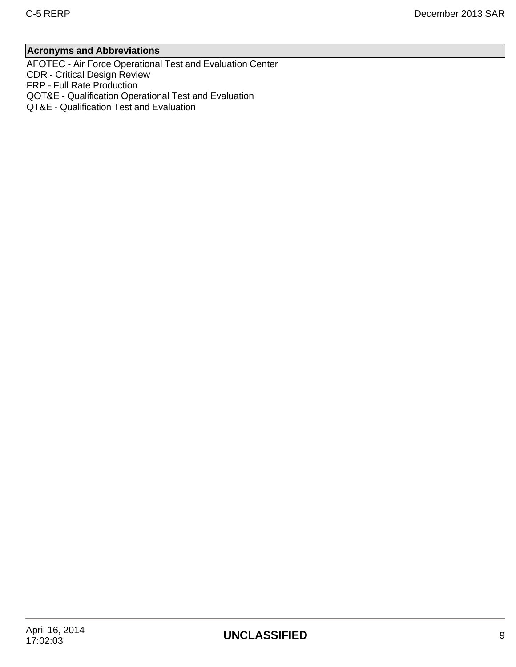### **Acronyms and Abbreviations**

AFOTEC - Air Force Operational Test and Evaluation Center CDR - Critical Design Review FRP - Full Rate Production QOT&E - Qualification Operational Test and Evaluation QT&E - Qualification Test and Evaluation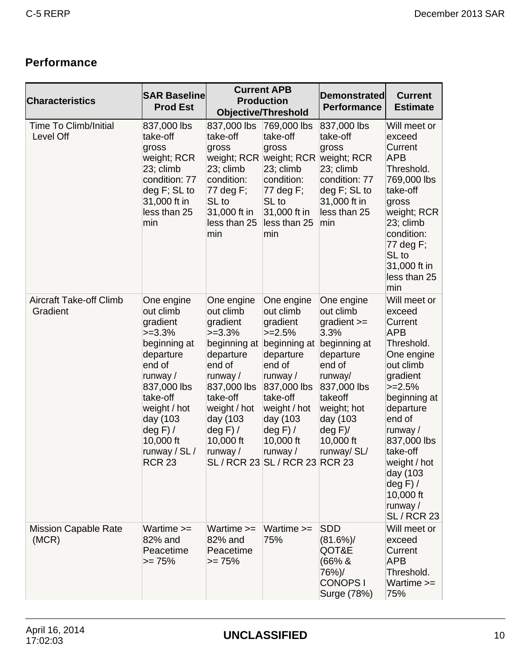# **Performance**

| <b>Characteristics</b>                     | <b>SAR Baseline</b><br><b>Prod Est</b>                                                                                                                                                                        |                                                                                                                                                                                                       | <b>Current APB</b><br><b>Production</b><br><b>Objective/Threshold</b>                                                                                                                                                             | <b>Demonstrated</b><br><b>Performance</b>                                                                                                                                                    | <b>Current</b><br><b>Estimate</b>                                                                                                                                                                                                                                                      |
|--------------------------------------------|---------------------------------------------------------------------------------------------------------------------------------------------------------------------------------------------------------------|-------------------------------------------------------------------------------------------------------------------------------------------------------------------------------------------------------|-----------------------------------------------------------------------------------------------------------------------------------------------------------------------------------------------------------------------------------|----------------------------------------------------------------------------------------------------------------------------------------------------------------------------------------------|----------------------------------------------------------------------------------------------------------------------------------------------------------------------------------------------------------------------------------------------------------------------------------------|
| <b>Time To Climb/Initial</b><br>Level Off  | 837,000 lbs<br>take-off<br>gross<br>weight; RCR<br>23; climb<br>condition: 77<br>deg F; SL to<br>31,000 ft in<br>less than 25<br>min                                                                          | 837,000 lbs<br>take-off<br>gross<br>weight; RCR<br>23; climb<br>condition:<br>77 deg F;<br>SL to<br>31,000 ft in<br>less than 25<br>min                                                               | 769,000 lbs<br>take-off<br>gross<br>weight; RCR<br>23; climb<br>condition:<br>77 deg F;<br>SL to<br>31,000 ft in<br>less than 25<br>min                                                                                           | 837,000 lbs<br>take-off<br>gross<br>weight; RCR<br>23; climb<br>condition: 77<br>$deg F$ ; SL to<br>31,000 ft in<br>less than 25<br>min                                                      | Will meet or<br>exceed<br>Current<br><b>APB</b><br>Threshold.<br>769,000 lbs<br>take-off<br>gross<br>weight; RCR<br>23; climb<br>condition:<br>77 deg F;<br>SL to<br>31,000 ft in<br>less than 25<br>min                                                                               |
| <b>Aircraft Take-off Climb</b><br>Gradient | One engine<br>out climb<br>gradient<br>$>=3.3%$<br>beginning at<br>departure<br>end of<br>runway /<br>837,000 lbs<br>take-off<br>weight / hot<br>day (103<br>deg F) /<br>10,000 ft<br>runway / SL /<br>RCR 23 | One engine<br>out climb<br>gradient<br>$>=3.3%$<br>beginning at<br>departure<br>end of<br>runway $/$<br>837,000 lbs<br>take-off<br>weight / hot<br>day (103<br>$deg F$ ) /<br>10,000 ft<br>runway $/$ | One engine<br>out climb<br>gradient<br>$>=2.5%$<br>beginning at<br>departure<br>end of<br>runway /<br>837,000 lbs<br>take-off<br>weight / hot<br>day (103<br>$deg F$ /<br>10,000 ft<br>runway /<br>SL / RCR 23 SL / RCR 23 RCR 23 | One engine<br>out climb<br>gradient $>=$<br>3.3%<br>beginning at<br>departure<br>end of<br>runway/<br>837,000 lbs<br>takeoff<br>weight; hot<br>day (103<br>deg F<br>10,000 ft<br>runway/ SL/ | Will meet or<br>exceed<br>Current<br><b>APB</b><br>Threshold.<br>One engine<br>out climb<br>gradient<br>$>=2.5%$<br>beginning at<br>departure<br>end of<br>runway /<br>837,000 lbs<br>take-off<br>weight / hot<br>day (103<br>$deg F$ /<br>10,000 ft<br>runway /<br><b>SL / RCR 23</b> |
| <b>Mission Capable Rate</b><br>(MCR)       | Wartime >=<br>82% and<br>Peacetime<br>$>= 75%$                                                                                                                                                                | Wartime >=<br>82% and<br>Peacetime<br>$>= 75%$                                                                                                                                                        | Wartime $>=$<br>75%                                                                                                                                                                                                               | <b>SDD</b><br>(81.6%)<br>QOT&E<br>(66% &<br>76%)/<br><b>CONOPS1</b><br>Surge (78%)                                                                                                           | Will meet or<br>exceed<br>Current<br><b>APB</b><br>Threshold.<br>Wartime $>=$<br>75%                                                                                                                                                                                                   |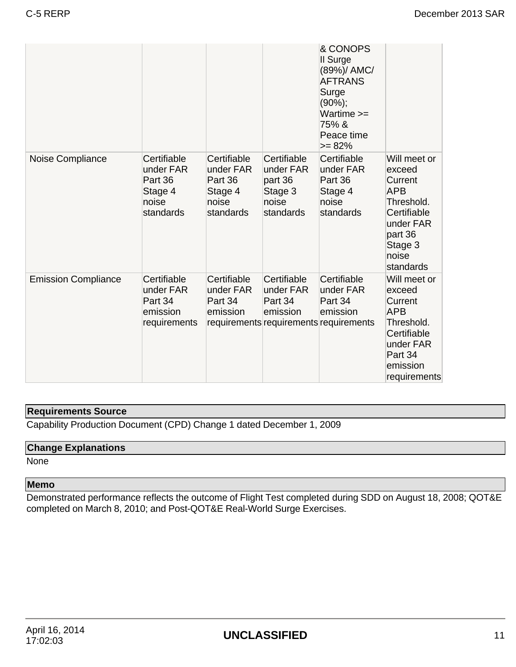|                            |                                                                      |                                                                      |                                                                      | & CONOPS<br>II Surge<br>(89%)/ AMC/<br><b>AFTRANS</b><br>Surge<br>$(90\%)$ ;<br>Wartime $>=$<br>75%&<br>Peace time<br>$>= 82%$ |                                                                                                                                       |
|----------------------------|----------------------------------------------------------------------|----------------------------------------------------------------------|----------------------------------------------------------------------|--------------------------------------------------------------------------------------------------------------------------------|---------------------------------------------------------------------------------------------------------------------------------------|
| Noise Compliance           | Certifiable<br>under FAR<br>Part 36<br>Stage 4<br>noise<br>standards | Certifiable<br>under FAR<br>Part 36<br>Stage 4<br>noise<br>standards | Certifiable<br>under FAR<br>part 36<br>Stage 3<br>noise<br>standards | Certifiable<br>under FAR<br>Part 36<br>Stage 4<br>noise<br>standards                                                           | Will meet or<br>exceed<br>Current<br><b>APB</b><br>Threshold.<br>Certifiable<br>under FAR<br>part 36<br>Stage 3<br>noise<br>standards |
| <b>Emission Compliance</b> | Certifiable<br>under FAR<br>Part 34<br>emission<br>requirements      | Certifiable<br>under FAR<br>Part 34<br>emission                      | Certifiable<br>under FAR<br>Part 34<br>emission                      | Certifiable<br>under FAR<br>Part 34<br>emission<br>requirements requirements requirements                                      | Will meet or<br>exceed<br>Current<br><b>APB</b><br>Threshold.<br>Certifiable<br>under FAR<br>Part 34<br>emission<br>requirements      |

# **Requirements Source**

Capability Production Document (CPD) Change 1 dated December 1, 2009

## **Change Explanations**

None

### **Memo**

Demonstrated performance reflects the outcome of Flight Test completed during SDD on August 18, 2008; QOT&E completed on March 8, 2010; and Post-QOT&E Real-World Surge Exercises.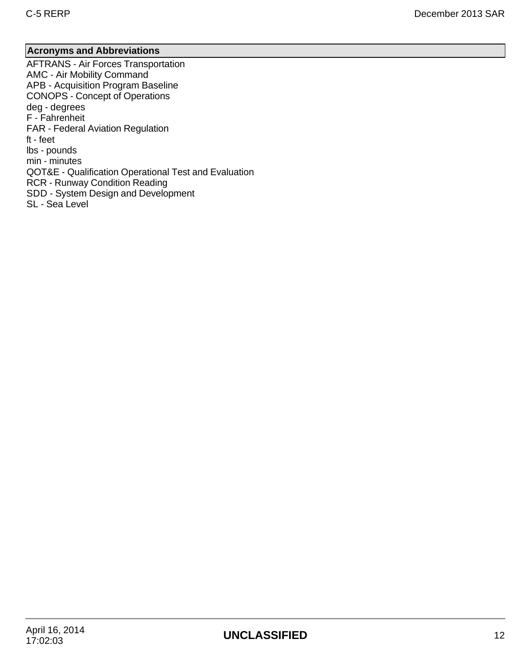### **Acronyms and Abbreviations**

AFTRANS - Air Forces Transportation AMC - Air Mobility Command APB - Acquisition Program Baseline CONOPS - Concept of Operations deg - degrees F - Fahrenheit FAR - Federal Aviation Regulation ft - feet lbs - pounds min - minutes QOT&E - Qualification Operational Test and Evaluation RCR - Runway Condition Reading SDD - System Design and Development SL - Sea Level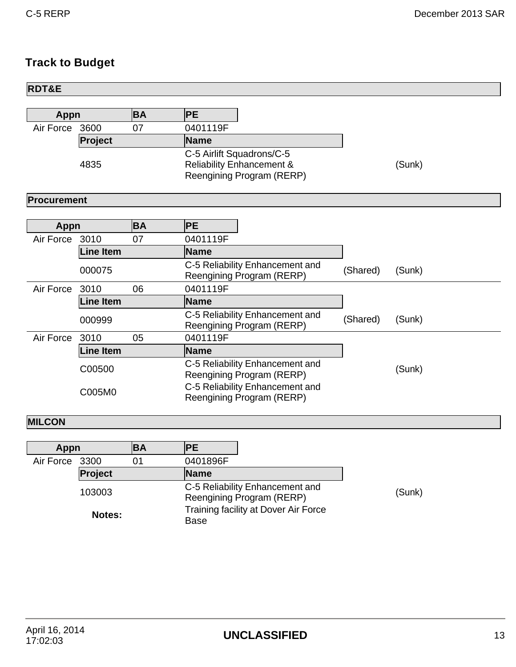# **Track to Budget**

| <b>RDT&amp;E</b>        |                  |           |                                                                                                 |          |        |
|-------------------------|------------------|-----------|-------------------------------------------------------------------------------------------------|----------|--------|
|                         |                  |           |                                                                                                 |          |        |
| <b>BA</b><br>Appn       |                  |           | PE                                                                                              |          |        |
| Air Force<br>07<br>3600 |                  |           | 0401119F                                                                                        |          |        |
|                         | Project          |           | Name                                                                                            |          |        |
| 4835                    |                  |           | C-5 Airlift Squadrons/C-5<br><b>Reliability Enhancement &amp;</b><br>Reengining Program (RERP)  |          | (Sunk) |
| Procurement             |                  |           |                                                                                                 |          |        |
|                         |                  |           |                                                                                                 |          |        |
| <b>Appn</b>             |                  | <b>BA</b> | PE                                                                                              |          |        |
| Air Force               | 3010             | 07        | 0401119F                                                                                        |          |        |
|                         | <b>Line Item</b> |           | Name                                                                                            |          |        |
|                         | 000075           |           | C-5 Reliability Enhancement and<br>Reengining Program (RERP)                                    | (Shared) | (Sunk) |
| Air Force               | 3010             | 06        | 0401119F                                                                                        |          |        |
| <b>Line Item</b>        |                  |           | Name                                                                                            |          |        |
|                         | 000999           |           | C-5 Reliability Enhancement and<br>Reengining Program (RERP)                                    | (Shared) | (Sunk) |
| Air Force               | 3010             | 05        | 0401119F                                                                                        |          |        |
|                         | <b>Line Item</b> |           | Name                                                                                            |          |        |
|                         | C00500           |           | C-5 Reliability Enhancement and<br>Reengining Program (RERP)<br>C-5 Reliability Enhancement and |          | (Sunk) |
|                         | C005M0           |           | Reengining Program (RERP)                                                                       |          |        |
| <b>MILCON</b>           |                  |           |                                                                                                 |          |        |
|                         |                  |           |                                                                                                 |          |        |
| Appn                    |                  | <b>BA</b> | PE                                                                                              |          |        |
| Air Force               | 3300             | 01        | 0401896F                                                                                        |          |        |
|                         | Project          |           | <b>Name</b>                                                                                     |          |        |
|                         | 103003           |           | C-5 Reliability Enhancement and<br>Reengining Program (RERP)                                    |          | (Sunk) |
|                         | Notes:           |           | Training facility at Dover Air Force<br><b>Base</b>                                             |          |        |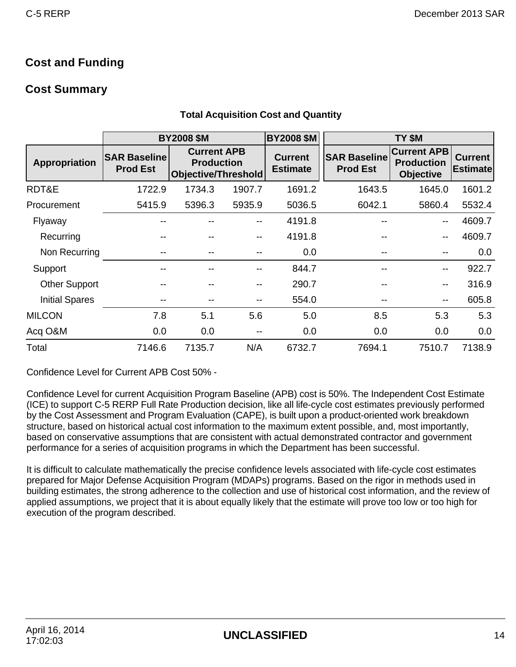## **Cost and Funding**

## **Cost Summary**

|                       | <b>BY2008 \$M</b>                      |                                                                       |        | <b>BY2008 \$M</b>                 |                                        | TY \$M                                                      |                                   |
|-----------------------|----------------------------------------|-----------------------------------------------------------------------|--------|-----------------------------------|----------------------------------------|-------------------------------------------------------------|-----------------------------------|
| Appropriation         | <b>SAR Baseline</b><br><b>Prod Est</b> | <b>Current APB</b><br><b>Production</b><br><b>Objective/Threshold</b> |        | <b>Current</b><br><b>Estimate</b> | <b>SAR Baseline</b><br><b>Prod Est</b> | <b>Current APB</b><br><b>Production</b><br><b>Objective</b> | <b>Current</b><br><b>Estimate</b> |
| RDT&E                 | 1722.9                                 | 1734.3                                                                | 1907.7 | 1691.2                            | 1643.5                                 | 1645.0                                                      | 1601.2                            |
| Procurement           | 5415.9                                 | 5396.3                                                                | 5935.9 | 5036.5                            | 6042.1                                 | 5860.4                                                      | 5532.4                            |
| Flyaway               |                                        |                                                                       | --     | 4191.8                            | --                                     | --                                                          | 4609.7                            |
| Recurring             |                                        |                                                                       | --     | 4191.8                            |                                        | --                                                          | 4609.7                            |
| Non Recurring         |                                        |                                                                       | --     | 0.0                               |                                        | --                                                          | 0.0                               |
| Support               |                                        |                                                                       | --     | 844.7                             | --                                     | --                                                          | 922.7                             |
| <b>Other Support</b>  |                                        |                                                                       | --     | 290.7                             |                                        | --                                                          | 316.9                             |
| <b>Initial Spares</b> |                                        |                                                                       | --     | 554.0                             |                                        | --                                                          | 605.8                             |
| <b>MILCON</b>         | 7.8                                    | 5.1                                                                   | 5.6    | 5.0                               | 8.5                                    | 5.3                                                         | 5.3                               |
| Acq O&M               | 0.0                                    | 0.0                                                                   | --     | 0.0                               | 0.0                                    | 0.0                                                         | 0.0                               |
| Total                 | 7146.6                                 | 7135.7                                                                | N/A    | 6732.7                            | 7694.1                                 | 7510.7                                                      | 7138.9                            |

### **Total Acquisition Cost and Quantity**

Confidence Level for Current APB Cost 50% -

Confidence Level for current Acquisition Program Baseline (APB) cost is 50%. The Independent Cost Estimate (ICE) to support C-5 RERP Full Rate Production decision, like all life-cycle cost estimates previously performed by the Cost Assessment and Program Evaluation (CAPE), is built upon a product-oriented work breakdown structure, based on historical actual cost information to the maximum extent possible, and, most importantly, based on conservative assumptions that are consistent with actual demonstrated contractor and government performance for a series of acquisition programs in which the Department has been successful.

It is difficult to calculate mathematically the precise confidence levels associated with life-cycle cost estimates prepared for Major Defense Acquisition Program (MDAPs) programs. Based on the rigor in methods used in building estimates, the strong adherence to the collection and use of historical cost information, and the review of applied assumptions, we project that it is about equally likely that the estimate will prove too low or too high for execution of the program described.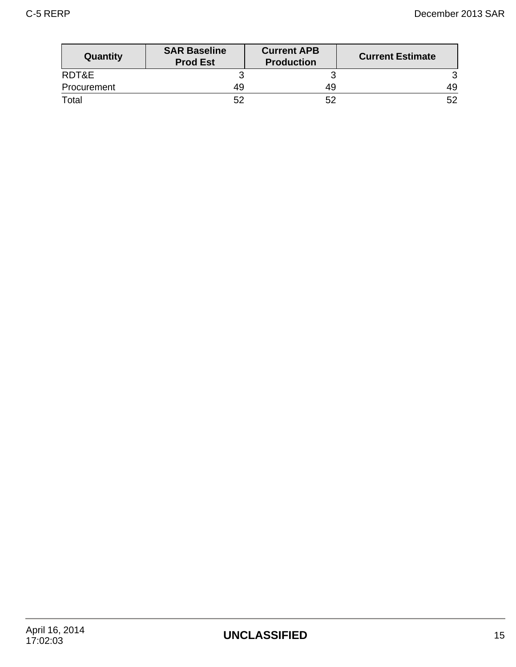| Quantity    | <b>SAR Baseline</b><br><b>Prod Est</b> | <b>Current APB</b><br><b>Production</b> | <b>Current Estimate</b> |
|-------------|----------------------------------------|-----------------------------------------|-------------------------|
| RDT&E       |                                        |                                         |                         |
| Procurement | 49                                     | 49                                      | 49                      |
| Total       | 52                                     | 52                                      | 52                      |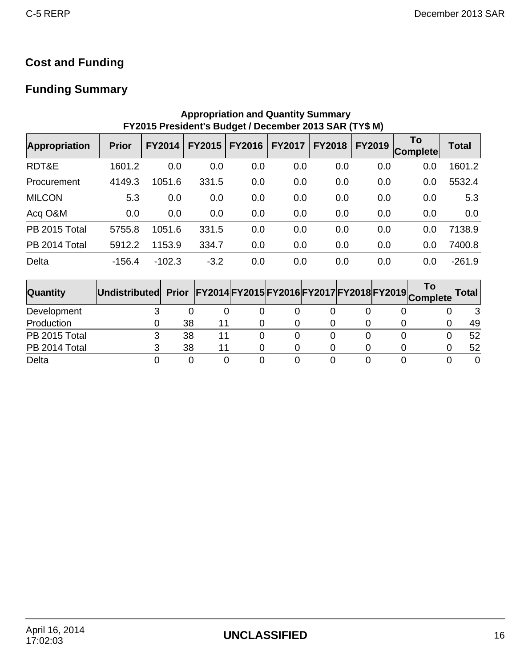# **Cost and Funding**

# **Funding Summary**

| <b>Appropriation and Quantity Summary</b><br>FY2015 President's Budget / December 2013 SAR (TY\$ M) |              |               |               |               |               |               |               |                       |              |  |  |  |
|-----------------------------------------------------------------------------------------------------|--------------|---------------|---------------|---------------|---------------|---------------|---------------|-----------------------|--------------|--|--|--|
| <b>Appropriation</b>                                                                                | <b>Prior</b> | <b>FY2014</b> | <b>FY2015</b> | <b>FY2016</b> | <b>FY2017</b> | <b>FY2018</b> | <b>FY2019</b> | To<br><b>Complete</b> | <b>Total</b> |  |  |  |
| RDT&E                                                                                               | 1601.2       | 0.0           | 0.0           | 0.0           | 0.0           | 0.0           | 0.0           | 0.0                   | 1601.2       |  |  |  |
| Procurement                                                                                         | 4149.3       | 1051.6        | 331.5         | 0.0           | 0.0           | 0.0           | 0.0           | 0.0                   | 5532.4       |  |  |  |
| <b>MILCON</b>                                                                                       | 5.3          | 0.0           | 0.0           | 0.0           | 0.0           | 0.0           | 0.0           | 0.0                   | 5.3          |  |  |  |
| Acq O&M                                                                                             | 0.0          | 0.0           | 0.0           | 0.0           | 0.0           | 0.0           | 0.0           | 0.0                   | 0.0          |  |  |  |
| PB 2015 Total                                                                                       | 5755.8       | 1051.6        | 331.5         | 0.0           | 0.0           | 0.0           | 0.0           | 0.0                   | 7138.9       |  |  |  |
| PB 2014 Total                                                                                       | 5912.2       | 1153.9        | 334.7         | 0.0           | 0.0           | 0.0           | 0.0           | 0.0                   | 7400.8       |  |  |  |
| Delta                                                                                               | $-156.4$     | $-102.3$      | $-3.2$        | 0.0           | 0.0           | 0.0           | 0.0           | 0.0                   | $-261.9$     |  |  |  |

### **Quantity Undistributed Prior FY2014 FY2015 FY2016 FY2017 FY2018 FY2019 To Complete Total** Development 3 0 0 0 0 0 0 0 0 3 Production 0 38 11 0 0 0 0 0 0 49 PB 2015 Total 3 38 11 0 0 0 0 0 0 52 PB 2014 Total 3 38 11 0 0 0 0 0 0 52 Delta 0 0 0 0 0 0 0 0 0 0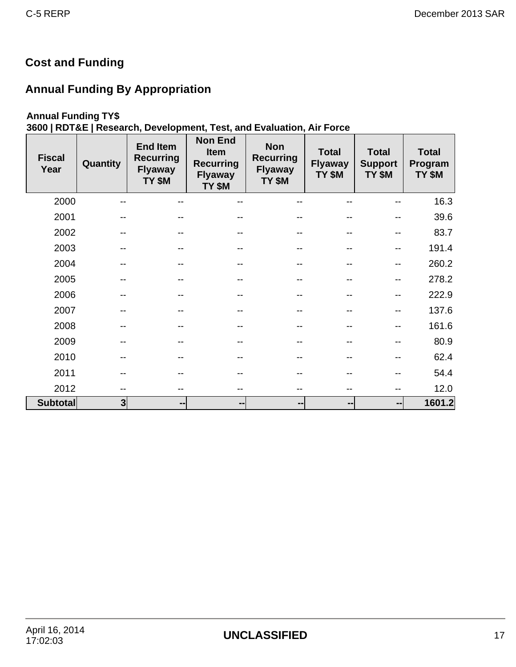# **Cost and Funding**

# **Annual Funding By Appropriation**

## **Annual Funding TY\$**

# **3600 | RDT&E | Research, Development, Test, and Evaluation, Air Force**

| <b>Fiscal</b><br>Year | Quantity | <b>End Item</b><br><b>Recurring</b><br><b>Flyaway</b><br>TY \$M | <b>Non End</b><br><b>Item</b><br><b>Recurring</b><br><b>Flyaway</b><br>TY \$M | <b>Non</b><br><b>Recurring</b><br><b>Flyaway</b><br>TY \$M | <b>Total</b><br><b>Flyaway</b><br>TY \$M | <b>Total</b><br><b>Support</b><br>TY \$M | <b>Total</b><br>Program<br>TY \$M |
|-----------------------|----------|-----------------------------------------------------------------|-------------------------------------------------------------------------------|------------------------------------------------------------|------------------------------------------|------------------------------------------|-----------------------------------|
| 2000                  | --       | --                                                              | --                                                                            |                                                            | --                                       |                                          | 16.3                              |
| 2001                  |          |                                                                 | --                                                                            |                                                            |                                          |                                          | 39.6                              |
| 2002                  | --       |                                                                 | --                                                                            |                                                            | --                                       | --                                       | 83.7                              |
| 2003                  | --       | --                                                              | --                                                                            |                                                            | --                                       | --                                       | 191.4                             |
| 2004                  |          |                                                                 |                                                                               |                                                            | --                                       | --                                       | 260.2                             |
| 2005                  |          |                                                                 | --                                                                            |                                                            | --                                       | --                                       | 278.2                             |
| 2006                  |          |                                                                 | --                                                                            |                                                            | --                                       | --                                       | 222.9                             |
| 2007                  |          |                                                                 |                                                                               |                                                            | --                                       |                                          | 137.6                             |
| 2008                  |          |                                                                 | --                                                                            |                                                            | --                                       | --                                       | 161.6                             |
| 2009                  |          |                                                                 | --                                                                            |                                                            | --                                       |                                          | 80.9                              |
| 2010                  | --       | --                                                              | --                                                                            |                                                            | --                                       | --                                       | 62.4                              |
| 2011                  | --       |                                                                 | --                                                                            |                                                            | --                                       |                                          | 54.4                              |
| 2012                  | --       | --                                                              | --                                                                            |                                                            | --                                       | --                                       | 12.0                              |
| <b>Subtotal</b>       | 3        | --                                                              | --                                                                            | --                                                         | --                                       | --                                       | 1601.2                            |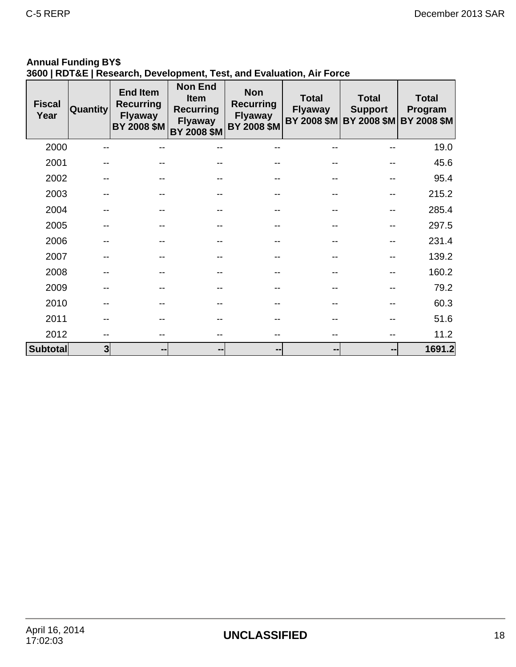# **Annual Funding BY\$**

# **3600 | RDT&E | Research, Development, Test, and Evaluation, Air Force**

| <b>Fiscal</b><br>Year | <b>Quantity</b> | <b>End Item</b><br><b>Recurring</b><br><b>Flyaway</b><br>BY 2008 \$M | <b>Non End</b><br><b>Item</b><br><b>Recurring</b><br><b>Flyaway</b><br>BY 2008 \$M | <b>Non</b><br><b>Recurring</b><br><b>Flyaway</b><br>BY 2008 \$M | <b>Total</b><br><b>Flyaway</b> | <b>Total</b><br><b>Support</b><br>BY 2008 \$M BY 2008 \$M | <b>Total</b><br>Program<br><b>BY 2008 \$M</b> |
|-----------------------|-----------------|----------------------------------------------------------------------|------------------------------------------------------------------------------------|-----------------------------------------------------------------|--------------------------------|-----------------------------------------------------------|-----------------------------------------------|
| 2000                  |                 |                                                                      |                                                                                    |                                                                 |                                |                                                           | 19.0                                          |
| 2001                  |                 |                                                                      |                                                                                    |                                                                 |                                |                                                           | 45.6                                          |
| 2002                  |                 |                                                                      |                                                                                    |                                                                 |                                |                                                           | 95.4                                          |
| 2003                  |                 |                                                                      |                                                                                    |                                                                 |                                |                                                           | 215.2                                         |
| 2004                  |                 |                                                                      |                                                                                    |                                                                 |                                |                                                           | 285.4                                         |
| 2005                  |                 |                                                                      |                                                                                    |                                                                 |                                |                                                           | 297.5                                         |
| 2006                  |                 |                                                                      |                                                                                    |                                                                 |                                |                                                           | 231.4                                         |
| 2007                  |                 |                                                                      |                                                                                    |                                                                 |                                |                                                           | 139.2                                         |
| 2008                  |                 |                                                                      |                                                                                    |                                                                 |                                |                                                           | 160.2                                         |
| 2009                  |                 |                                                                      |                                                                                    |                                                                 |                                |                                                           | 79.2                                          |
| 2010                  |                 |                                                                      |                                                                                    |                                                                 |                                |                                                           | 60.3                                          |
| 2011                  |                 |                                                                      |                                                                                    |                                                                 |                                |                                                           | 51.6                                          |
| 2012                  |                 |                                                                      |                                                                                    |                                                                 |                                |                                                           | 11.2                                          |
| <b>Subtotal</b>       | 3               | --                                                                   | --                                                                                 | --                                                              | --                             | $\qquad \qquad \blacksquare$                              | 1691.2                                        |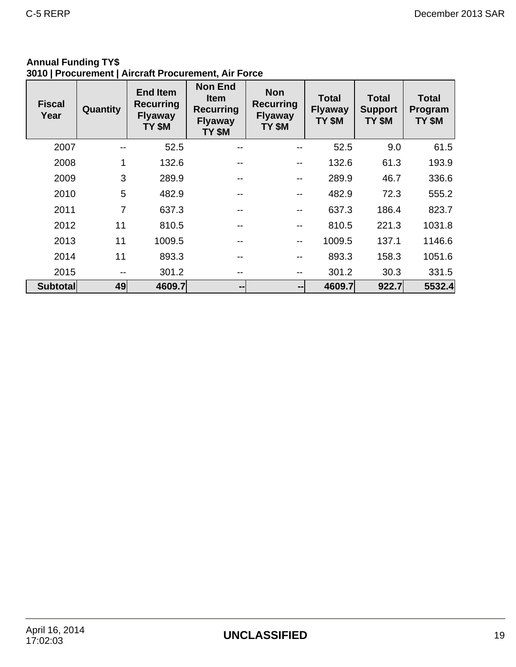### **Annual Funding TY\$ 3010 | Procurement | Aircraft Procurement, Air Force**

| <b>Fiscal</b><br>Year | Quantity       | <b>End Item</b><br><b>Recurring</b><br><b>Flyaway</b><br>TY \$M | <b>Non End</b><br><b>Item</b><br><b>Recurring</b><br><b>Flyaway</b><br>TY \$M | <b>Non</b><br><b>Recurring</b><br><b>Flyaway</b><br>TY \$M | <b>Total</b><br><b>Flyaway</b><br>TY \$M | <b>Total</b><br><b>Support</b><br>TY \$M | <b>Total</b><br>Program<br>TY \$M |
|-----------------------|----------------|-----------------------------------------------------------------|-------------------------------------------------------------------------------|------------------------------------------------------------|------------------------------------------|------------------------------------------|-----------------------------------|
| 2007                  |                | 52.5                                                            | --                                                                            |                                                            | 52.5                                     | 9.0                                      | 61.5                              |
| 2008                  | $\mathbf{1}$   | 132.6                                                           | --                                                                            | $\sim$ $\sim$                                              | 132.6                                    | 61.3                                     | 193.9                             |
| 2009                  | 3              | 289.9                                                           | --                                                                            | --                                                         | 289.9                                    | 46.7                                     | 336.6                             |
| 2010                  | 5              | 482.9                                                           | --                                                                            | --                                                         | 482.9                                    | 72.3                                     | 555.2                             |
| 2011                  | $\overline{7}$ | 637.3                                                           | --                                                                            | --                                                         | 637.3                                    | 186.4                                    | 823.7                             |
| 2012                  | 11             | 810.5                                                           | --                                                                            | --                                                         | 810.5                                    | 221.3                                    | 1031.8                            |
| 2013                  | 11             | 1009.5                                                          | --                                                                            | $\overline{\phantom{m}}$                                   | 1009.5                                   | 137.1                                    | 1146.6                            |
| 2014                  | 11             | 893.3                                                           | --                                                                            | $\sim$ $\sim$                                              | 893.3                                    | 158.3                                    | 1051.6                            |
| 2015                  |                | 301.2                                                           |                                                                               | --                                                         | 301.2                                    | 30.3                                     | 331.5                             |
| <b>Subtotal</b>       | 49             | 4609.7                                                          | $\qquad \qquad \blacksquare$                                                  | $\qquad \qquad \blacksquare$                               | 4609.7                                   | 922.7                                    | 5532.4                            |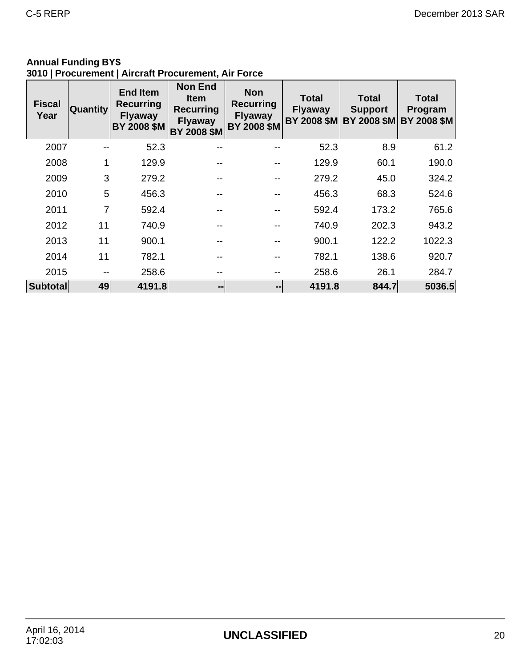### **Annual Funding BY\$ 3010 | Procurement | Aircraft Procurement, Air Force**

| <b>Fiscal</b><br>Year | <b>Quantity</b> | <b>End Item</b><br><b>Recurring</b><br><b>Flyaway</b><br><b>BY 2008 \$M</b> | <b>Non End</b><br><b>Item</b><br><b>Recurring</b><br><b>Flyaway</b><br>BY 2008 \$M | <b>Non</b><br><b>Recurring</b><br><b>Flyaway</b><br><b>BY 2008 \$M</b> | <b>Total</b><br><b>Flyaway</b><br><b>BY 2008 \$M</b> | <b>Total</b><br><b>Support</b><br><b>BY 2008 \$M</b> | <b>Total</b><br>Program<br><b>BY 2008 \$M</b> |
|-----------------------|-----------------|-----------------------------------------------------------------------------|------------------------------------------------------------------------------------|------------------------------------------------------------------------|------------------------------------------------------|------------------------------------------------------|-----------------------------------------------|
| 2007                  | --              | 52.3                                                                        |                                                                                    |                                                                        | 52.3                                                 | 8.9                                                  | 61.2                                          |
| 2008                  | 1               | 129.9                                                                       |                                                                                    |                                                                        | 129.9                                                | 60.1                                                 | 190.0                                         |
| 2009                  | 3               | 279.2                                                                       |                                                                                    |                                                                        | 279.2                                                | 45.0                                                 | 324.2                                         |
| 2010                  | 5               | 456.3                                                                       |                                                                                    |                                                                        | 456.3                                                | 68.3                                                 | 524.6                                         |
| 2011                  | $\overline{7}$  | 592.4                                                                       |                                                                                    |                                                                        | 592.4                                                | 173.2                                                | 765.6                                         |
| 2012                  | 11              | 740.9                                                                       |                                                                                    |                                                                        | 740.9                                                | 202.3                                                | 943.2                                         |
| 2013                  | 11              | 900.1                                                                       |                                                                                    |                                                                        | 900.1                                                | 122.2                                                | 1022.3                                        |
| 2014                  | 11              | 782.1                                                                       |                                                                                    |                                                                        | 782.1                                                | 138.6                                                | 920.7                                         |
| 2015                  | --              | 258.6                                                                       |                                                                                    |                                                                        | 258.6                                                | 26.1                                                 | 284.7                                         |
| <b>Subtotal</b>       | 49              | 4191.8                                                                      | --                                                                                 | $\overline{\phantom{a}}$                                               | 4191.8                                               | 844.7                                                | 5036.5                                        |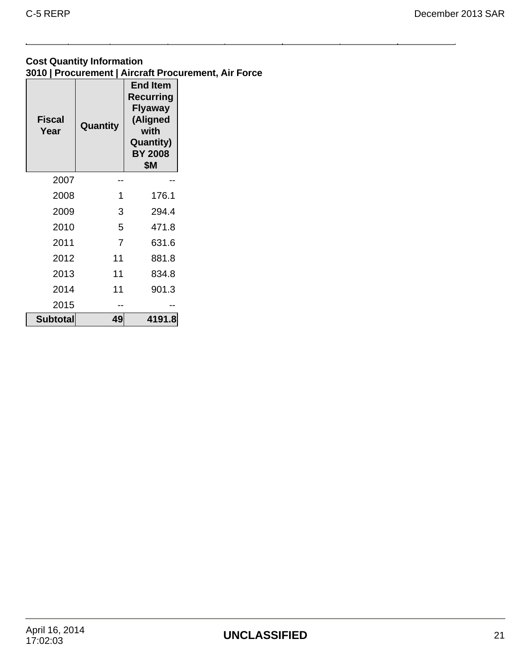### **Cost Quantity Information 3010 | Procurement | Aircraft Procurement, Air Force**

| <b>Fiscal</b><br>Year | Quantity | <b>End Item</b><br><b>Recurring</b><br>Flyaway<br>(Aligned<br>with<br>Quantity)<br><b>BY 2008</b><br>\$Μ |
|-----------------------|----------|----------------------------------------------------------------------------------------------------------|
| 2007                  |          |                                                                                                          |
| 2008                  | 1        | 176.1                                                                                                    |
| 2009                  | 3        | 294.4                                                                                                    |
| 2010                  | 5        | 471.8                                                                                                    |
| 2011                  | 7        | 631.6                                                                                                    |
| 2012                  | 11       | 881.8                                                                                                    |
| 2013                  | 11       | 834.8                                                                                                    |
| 2014                  | 11       | 901.3                                                                                                    |
| 2015                  |          |                                                                                                          |
| <b>Subtotal</b>       | 49       | 4191.8                                                                                                   |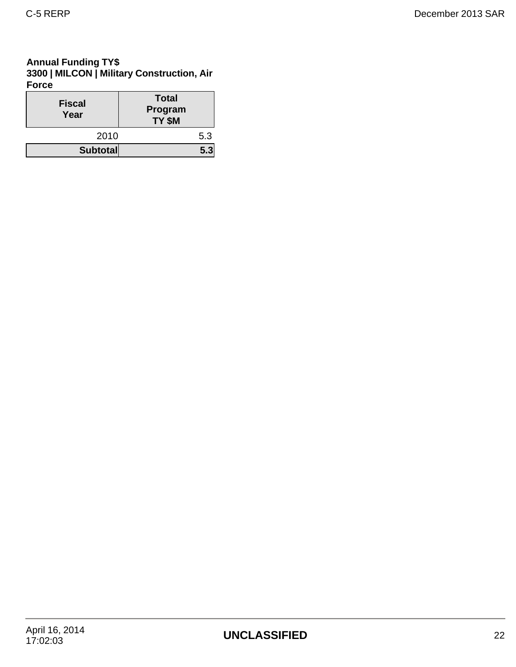### **Annual Funding TY\$ 3300 | MILCON | Military Construction, Air Force**

| <b>Fiscal</b><br>Year | <b>Total</b><br>Program<br>TY \$M |
|-----------------------|-----------------------------------|
| 2010                  | 5.3                               |
| <b>Subtotal</b>       |                                   |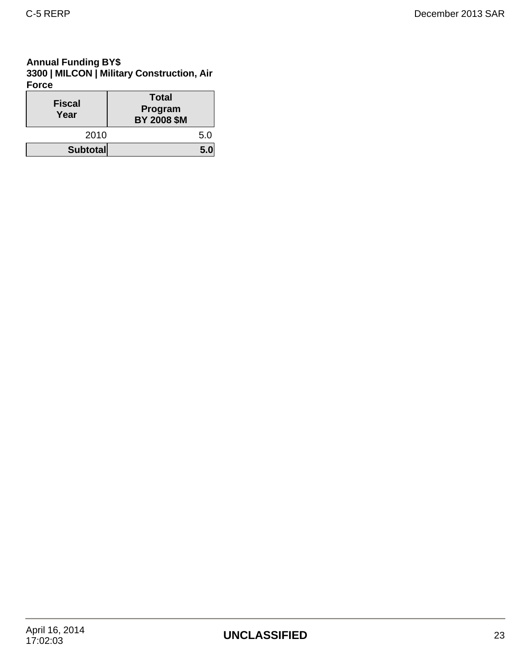### **Annual Funding BY\$ 3300 | MILCON | Military Construction, Air Force**

| <b>Fiscal</b><br>Year | <b>Total</b><br>Program<br><b>BY 2008 \$M</b> |
|-----------------------|-----------------------------------------------|
| 2010                  | 5.0                                           |
| <b>Subtotal</b>       | 5.0                                           |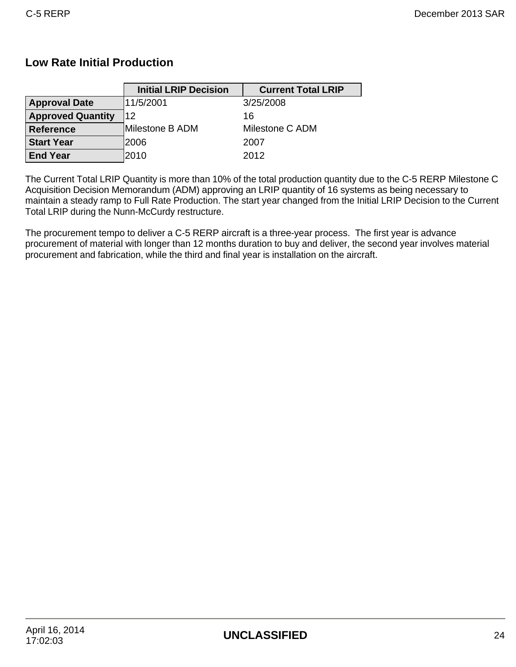## **Low Rate Initial Production**

|                          | <b>Initial LRIP Decision</b> | <b>Current Total LRIP</b> |
|--------------------------|------------------------------|---------------------------|
| <b>Approval Date</b>     | 11/5/2001                    | 3/25/2008                 |
| <b>Approved Quantity</b> | 12                           | 16                        |
| <b>Reference</b>         | Milestone B ADM              | Milestone C ADM           |
| <b>Start Year</b>        | 2006                         | 2007                      |
| <b>End Year</b>          | 2010                         | 2012                      |

The Current Total LRIP Quantity is more than 10% of the total production quantity due to the C-5 RERP Milestone C Acquisition Decision Memorandum (ADM) approving an LRIP quantity of 16 systems as being necessary to maintain a steady ramp to Full Rate Production. The start year changed from the Initial LRIP Decision to the Current Total LRIP during the Nunn-McCurdy restructure.

The procurement tempo to deliver a C-5 RERP aircraft is a three-year process. The first year is advance procurement of material with longer than 12 months duration to buy and deliver, the second year involves material procurement and fabrication, while the third and final year is installation on the aircraft.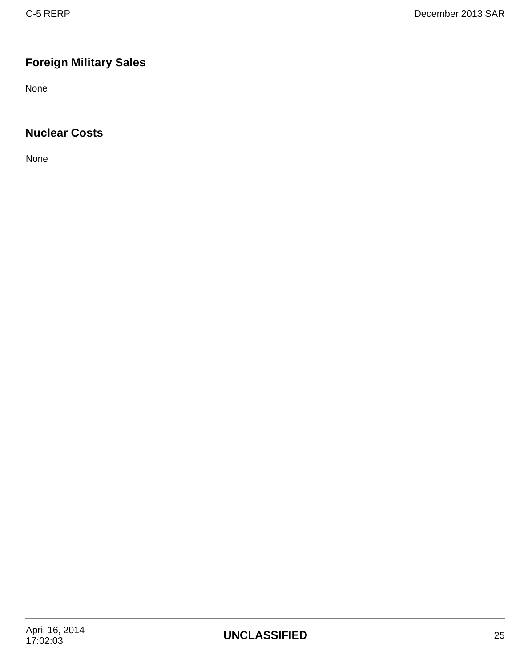# **Foreign Military Sales**

None

# **Nuclear Costs**

None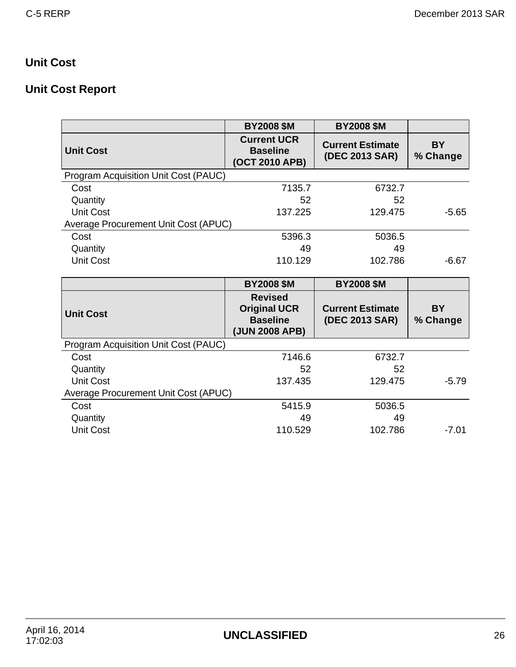# **Unit Cost**

# **Unit Cost Report**

|                                      | <b>BY2008 \$M</b>                                                          | <b>BY2008 \$M</b>                         |                       |
|--------------------------------------|----------------------------------------------------------------------------|-------------------------------------------|-----------------------|
| <b>Unit Cost</b>                     | <b>Current UCR</b><br><b>Baseline</b><br>(OCT 2010 APB)                    | <b>Current Estimate</b><br>(DEC 2013 SAR) | <b>BY</b><br>% Change |
| Program Acquisition Unit Cost (PAUC) |                                                                            |                                           |                       |
| Cost                                 | 7135.7                                                                     | 6732.7                                    |                       |
| Quantity                             | 52                                                                         | 52                                        |                       |
| <b>Unit Cost</b>                     | 137.225                                                                    | 129.475                                   | $-5.65$               |
| Average Procurement Unit Cost (APUC) |                                                                            |                                           |                       |
| Cost                                 | 5396.3                                                                     | 5036.5                                    |                       |
| Quantity                             | 49                                                                         | 49                                        |                       |
| <b>Unit Cost</b>                     | 110.129                                                                    | 102.786                                   | $-6.67$               |
|                                      |                                                                            |                                           |                       |
|                                      | <b>BY2008 \$M</b>                                                          | <b>BY2008 \$M</b>                         |                       |
|                                      |                                                                            |                                           |                       |
| <b>Unit Cost</b>                     | <b>Revised</b><br><b>Original UCR</b><br><b>Baseline</b><br>(JUN 2008 APB) | <b>Current Estimate</b><br>(DEC 2013 SAR) | <b>BY</b><br>% Change |
| Program Acquisition Unit Cost (PAUC) |                                                                            |                                           |                       |
| Cost                                 | 7146.6                                                                     | 6732.7                                    |                       |
| Quantity                             | 52                                                                         | 52                                        |                       |
| <b>Unit Cost</b>                     | 137.435                                                                    | 129.475                                   | $-5.79$               |
| Average Procurement Unit Cost (APUC) |                                                                            |                                           |                       |
| Cost                                 | 5415.9                                                                     | 5036.5                                    |                       |
| Quantity                             | 49                                                                         | 49                                        |                       |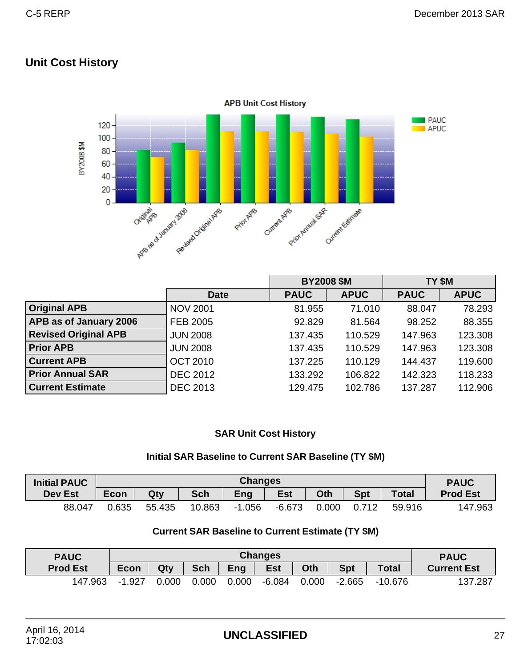## **Unit Cost History**



|                             |                 | <b>BY2008 \$M</b> |             | TY \$M      |             |
|-----------------------------|-----------------|-------------------|-------------|-------------|-------------|
|                             | <b>Date</b>     | <b>PAUC</b>       | <b>APUC</b> | <b>PAUC</b> | <b>APUC</b> |
| <b>Original APB</b>         | <b>NOV 2001</b> | 81.955            | 71.010      | 88.047      | 78.293      |
| APB as of January 2006      | FEB 2005        | 92.829            | 81.564      | 98.252      | 88.355      |
| <b>Revised Original APB</b> | <b>JUN 2008</b> | 137.435           | 110.529     | 147.963     | 123.308     |
| <b>Prior APB</b>            | <b>JUN 2008</b> | 137.435           | 110.529     | 147.963     | 123.308     |
| <b>Current APB</b>          | <b>OCT 2010</b> | 137.225           | 110.129     | 144.437     | 119.600     |
| <b>Prior Annual SAR</b>     | <b>DEC 2012</b> | 133.292           | 106.822     | 142.323     | 118.233     |
| <b>Current Estimate</b>     | <b>DEC 2013</b> | 129.475           | 102.786     | 137.287     | 112.906     |

### **SAR Unit Cost History**

### **Initial SAR Baseline to Current SAR Baseline (TY \$M)**

| <b>Initial PAUC</b> | <b>Changes</b> |        |            |          |            |       |            | <b>PAUC</b>  |                 |
|---------------------|----------------|--------|------------|----------|------------|-------|------------|--------------|-----------------|
| <b>Dev Est</b>      | <b>Econ</b>    | Qty    | <b>Sch</b> | Eng      | <b>Est</b> | Oth   | <b>Spt</b> | <b>Total</b> | <b>Prod Est</b> |
| 88.047              | 0.635          | 55.435 | 10.863     | $-1.056$ | $-6.673$   | 0.000 | 712<br>0.7 | 59.916       | 147.963         |

### **Current SAR Baseline to Current Estimate (TY \$M)**

| <b>PAUC</b>     | <b>Changes</b> |       |                                                                      |       |          |       |          | <b>PAUC</b> |                    |
|-----------------|----------------|-------|----------------------------------------------------------------------|-------|----------|-------|----------|-------------|--------------------|
| <b>Prod Est</b> | <b>Econ</b>    | Qty   | <b>Est</b><br>Eng<br><b>Spt</b><br><b>Sch</b><br>Oth<br><b>Total</b> |       |          |       |          |             | <b>Current Est</b> |
| 147.963         | $-1.927$       | 0.000 | 0.000                                                                | 0.000 | $-6.084$ | 0.000 | $-2.665$ | $-10.676$   | 137.287            |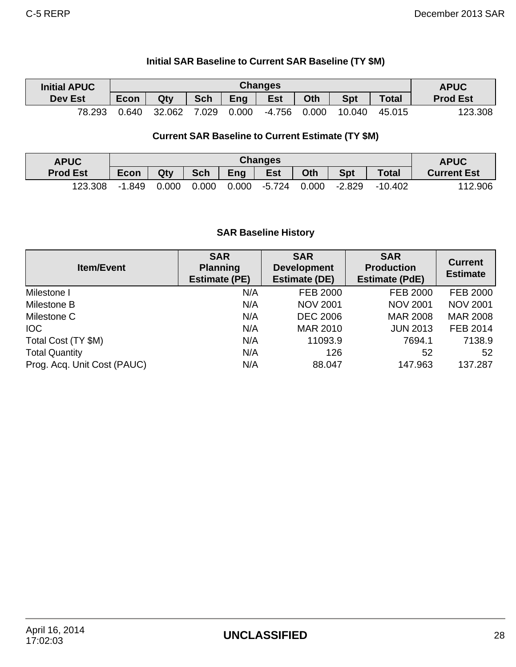| <b>Initial APUC</b> |       |        |            |       | <b>Changes</b> |       |            |              | <b>APUC</b>     |
|---------------------|-------|--------|------------|-------|----------------|-------|------------|--------------|-----------------|
| <b>Dev Est</b>      | Econ  | Qty    | <b>Sch</b> | Eng   | <b>Est</b>     | Oth   | <b>Spt</b> | <b>Total</b> | <b>Prod Est</b> |
| 78.293              | 0.640 | 32.062 | 7.029      | 0.000 | -4.756         | 0.000 | 10.040     | 45.015       | 123.308         |

## **Initial SAR Baseline to Current SAR Baseline (TY \$M)**

### **Current SAR Baseline to Current Estimate (TY \$M)**

| <b>APUC</b>     | <b>Changes</b> |                                                                             |       |       |        |       |                    |           | <b>APUC</b> |
|-----------------|----------------|-----------------------------------------------------------------------------|-------|-------|--------|-------|--------------------|-----------|-------------|
| <b>Prod Est</b> | <b>Econ</b>    | Eng<br><b>Est</b><br><b>Spt</b><br>Oth<br><b>Sch</b><br><b>Total</b><br>Qty |       |       |        |       | <b>Current Est</b> |           |             |
| 123.308         | -1.849         | 0.000                                                                       | 0.000 | 0.000 | -5.724 | 0.000 | $-2.829$           | $-10.402$ | 112.906     |

### **SAR Baseline History**

| <b>Item/Event</b>           | <b>SAR</b><br><b>Planning</b><br><b>Estimate (PE)</b> | <b>SAR</b><br><b>Development</b><br><b>Estimate (DE)</b> | <b>SAR</b><br><b>Production</b><br><b>Estimate (PdE)</b> | <b>Current</b><br><b>Estimate</b> |
|-----------------------------|-------------------------------------------------------|----------------------------------------------------------|----------------------------------------------------------|-----------------------------------|
| Milestone I                 | N/A                                                   | FEB 2000                                                 | FEB 2000                                                 | FEB 2000                          |
| Milestone B                 | N/A                                                   | <b>NOV 2001</b>                                          | <b>NOV 2001</b>                                          | <b>NOV 2001</b>                   |
| Milestone C                 | N/A                                                   | <b>DEC 2006</b>                                          | <b>MAR 2008</b>                                          | <b>MAR 2008</b>                   |
| <b>IOC</b>                  | N/A                                                   | <b>MAR 2010</b>                                          | <b>JUN 2013</b>                                          | FEB 2014                          |
| Total Cost (TY \$M)         | N/A                                                   | 11093.9                                                  | 7694.1                                                   | 7138.9                            |
| <b>Total Quantity</b>       | N/A                                                   | 126                                                      | 52                                                       | 52                                |
| Prog. Acq. Unit Cost (PAUC) | N/A                                                   | 88.047                                                   | 147.963                                                  | 137.287                           |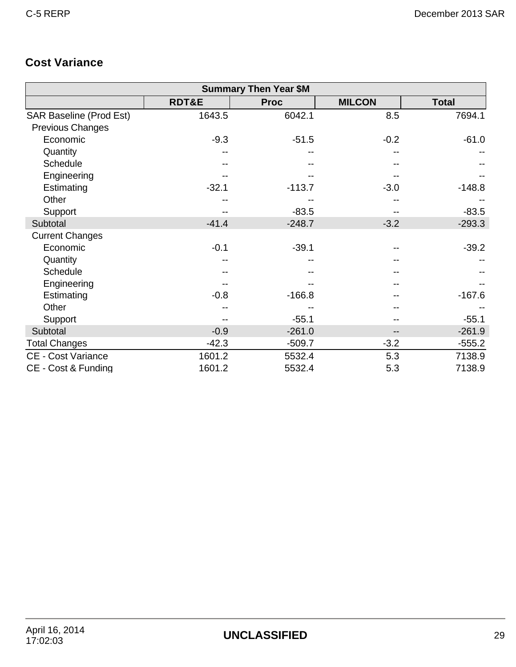# **Cost Variance**

|                                | <b>Summary Then Year \$M</b> |             |               |              |  |  |  |  |  |  |  |
|--------------------------------|------------------------------|-------------|---------------|--------------|--|--|--|--|--|--|--|
|                                | <b>RDT&amp;E</b>             | <b>Proc</b> | <b>MILCON</b> | <b>Total</b> |  |  |  |  |  |  |  |
| <b>SAR Baseline (Prod Est)</b> | 1643.5                       | 6042.1      | 8.5           | 7694.1       |  |  |  |  |  |  |  |
| <b>Previous Changes</b>        |                              |             |               |              |  |  |  |  |  |  |  |
| Economic                       | $-9.3$                       | $-51.5$     | $-0.2$        | $-61.0$      |  |  |  |  |  |  |  |
| Quantity                       |                              |             |               |              |  |  |  |  |  |  |  |
| Schedule                       |                              |             |               |              |  |  |  |  |  |  |  |
| Engineering                    |                              |             |               |              |  |  |  |  |  |  |  |
| Estimating                     | $-32.1$                      | $-113.7$    | $-3.0$        | $-148.8$     |  |  |  |  |  |  |  |
| Other                          |                              |             |               |              |  |  |  |  |  |  |  |
| Support                        |                              | $-83.5$     |               | $-83.5$      |  |  |  |  |  |  |  |
| Subtotal                       | $-41.4$                      | $-248.7$    | $-3.2$        | $-293.3$     |  |  |  |  |  |  |  |
| <b>Current Changes</b>         |                              |             |               |              |  |  |  |  |  |  |  |
| Economic                       | $-0.1$                       | $-39.1$     |               | $-39.2$      |  |  |  |  |  |  |  |
| Quantity                       |                              |             |               |              |  |  |  |  |  |  |  |
| Schedule                       |                              |             |               |              |  |  |  |  |  |  |  |
| Engineering                    |                              |             |               |              |  |  |  |  |  |  |  |
| Estimating                     | $-0.8$                       | $-166.8$    |               | $-167.6$     |  |  |  |  |  |  |  |
| Other                          |                              |             |               |              |  |  |  |  |  |  |  |
| Support                        |                              | $-55.1$     |               | $-55.1$      |  |  |  |  |  |  |  |
| Subtotal                       | $-0.9$                       | $-261.0$    | --            | $-261.9$     |  |  |  |  |  |  |  |
| <b>Total Changes</b>           | $-42.3$                      | $-509.7$    | $-3.2$        | $-555.2$     |  |  |  |  |  |  |  |
| <b>CE - Cost Variance</b>      | 1601.2                       | 5532.4      | 5.3           | 7138.9       |  |  |  |  |  |  |  |
| CE - Cost & Funding            | 1601.2                       | 5532.4      | 5.3           | 7138.9       |  |  |  |  |  |  |  |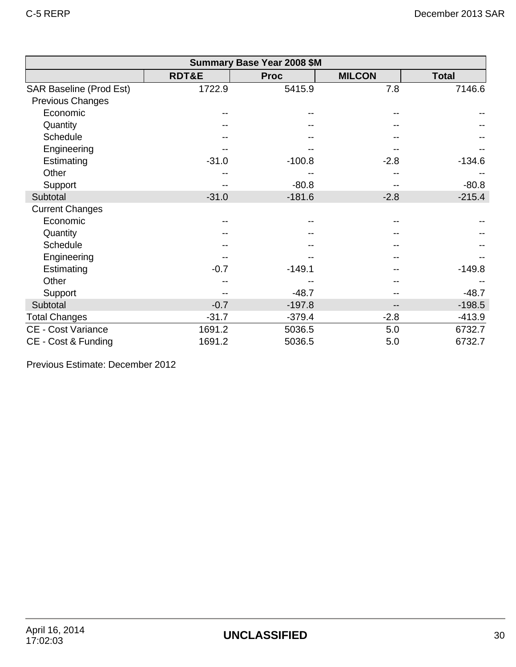| <b>Summary Base Year 2008 \$M</b> |                  |             |               |              |  |  |  |  |  |  |
|-----------------------------------|------------------|-------------|---------------|--------------|--|--|--|--|--|--|
|                                   | <b>RDT&amp;E</b> | <b>Proc</b> | <b>MILCON</b> | <b>Total</b> |  |  |  |  |  |  |
| <b>SAR Baseline (Prod Est)</b>    | 1722.9           | 5415.9      | 7.8           | 7146.6       |  |  |  |  |  |  |
| <b>Previous Changes</b>           |                  |             |               |              |  |  |  |  |  |  |
| Economic                          | --               |             |               |              |  |  |  |  |  |  |
| Quantity                          |                  |             |               |              |  |  |  |  |  |  |
| <b>Schedule</b>                   |                  |             |               |              |  |  |  |  |  |  |
| Engineering                       |                  |             |               |              |  |  |  |  |  |  |
| Estimating                        | $-31.0$          | $-100.8$    | $-2.8$        | $-134.6$     |  |  |  |  |  |  |
| Other                             |                  |             |               |              |  |  |  |  |  |  |
| Support                           |                  | $-80.8$     |               | $-80.8$      |  |  |  |  |  |  |
| Subtotal                          | $-31.0$          | $-181.6$    | $-2.8$        | $-215.4$     |  |  |  |  |  |  |
| <b>Current Changes</b>            |                  |             |               |              |  |  |  |  |  |  |
| Economic                          |                  |             |               |              |  |  |  |  |  |  |
| Quantity                          |                  |             |               |              |  |  |  |  |  |  |
| Schedule                          |                  |             |               |              |  |  |  |  |  |  |
| Engineering                       |                  |             |               |              |  |  |  |  |  |  |
| Estimating                        | $-0.7$           | $-149.1$    |               | $-149.8$     |  |  |  |  |  |  |
| Other                             |                  |             |               |              |  |  |  |  |  |  |
| Support                           |                  | $-48.7$     |               | $-48.7$      |  |  |  |  |  |  |
| Subtotal                          | $-0.7$           | $-197.8$    | --            | $-198.5$     |  |  |  |  |  |  |
| <b>Total Changes</b>              | $-31.7$          | $-379.4$    | $-2.8$        | $-413.9$     |  |  |  |  |  |  |
| <b>CE - Cost Variance</b>         | 1691.2           | 5036.5      | 5.0           | 6732.7       |  |  |  |  |  |  |
| CE - Cost & Funding               | 1691.2           | 5036.5      | 5.0           | 6732.7       |  |  |  |  |  |  |

Previous Estimate: December 2012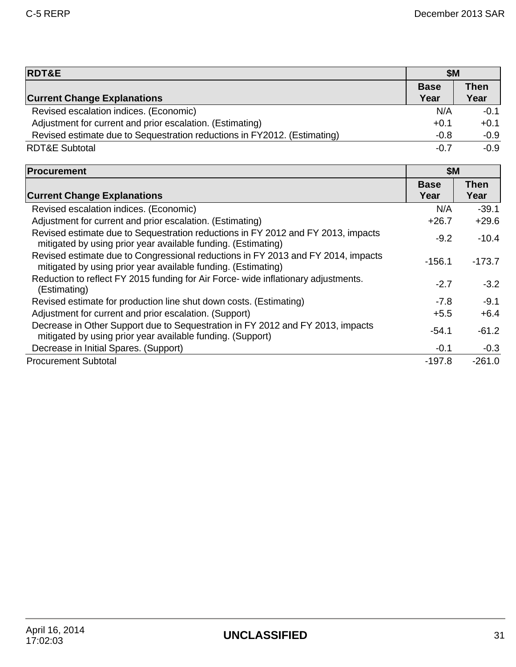┑

| <b>RDT&amp;E</b>                                                                                                                                  | <b>\$M</b>          |                     |
|---------------------------------------------------------------------------------------------------------------------------------------------------|---------------------|---------------------|
| <b>Current Change Explanations</b>                                                                                                                | <b>Base</b><br>Year | <b>Then</b><br>Year |
| Revised escalation indices. (Economic)                                                                                                            | N/A                 | $-0.1$              |
| Adjustment for current and prior escalation. (Estimating)                                                                                         | $+0.1$              | $+0.1$              |
| Revised estimate due to Sequestration reductions in FY2012. (Estimating)                                                                          | $-0.8$              | $-0.9$              |
| <b>RDT&amp;E Subtotal</b>                                                                                                                         | $-0.7$              | $-0.9$              |
| <b>Procurement</b>                                                                                                                                | <b>\$M</b>          |                     |
| <b>Current Change Explanations</b>                                                                                                                | <b>Base</b><br>Year | <b>Then</b><br>Year |
| Revised escalation indices. (Economic)                                                                                                            | N/A                 | $-39.1$             |
| Adjustment for current and prior escalation. (Estimating)                                                                                         | $+26.7$             | $+29.6$             |
| Revised estimate due to Sequestration reductions in FY 2012 and FY 2013, impacts<br>mitigated by using prior year available funding. (Estimating) | $-9.2$              | $-10.4$             |
| Revised estimate due to Congressional reductions in FY 2013 and FY 2014, impacts<br>mitigated by using prior year available funding. (Estimating) | $-156.1$            | $-173.7$            |
| Reduction to reflect FY 2015 funding for Air Force- wide inflationary adjustments.<br>(Estimating)                                                | $-2.7$              | $-3.2$              |
| Revised estimate for production line shut down costs. (Estimating)                                                                                | $-7.8$              | $-9.1$              |
| Adjustment for current and prior escalation. (Support)                                                                                            | $+5.5$              | $+6.4$              |
| Decrease in Other Support due to Sequestration in FY 2012 and FY 2013, impacts<br>mitigated by using prior year available funding. (Support)      | $-54.1$             | $-61.2$             |
| Decrease in Initial Spares. (Support)                                                                                                             | $-0.1$              | $-0.3$              |
| <b>Procurement Subtotal</b>                                                                                                                       | $-197.8$            | $-261.0$            |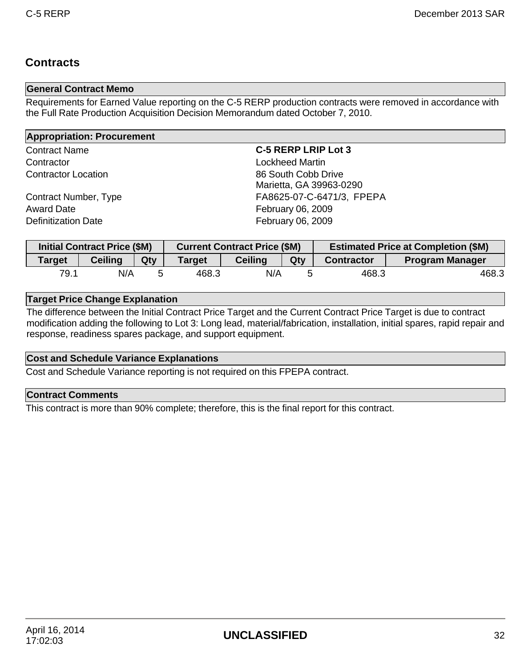## **Contracts**

### **General Contract Memo**

Requirements for Earned Value reporting on the C-5 RERP production contracts were removed in accordance with the Full Rate Production Acquisition Decision Memorandum dated October 7, 2010.

| <b>Appropriation: Procurement</b> |                            |  |  |  |  |  |  |
|-----------------------------------|----------------------------|--|--|--|--|--|--|
| <b>Contract Name</b>              | <b>C-5 RERP LRIP Lot 3</b> |  |  |  |  |  |  |
| Contractor                        | <b>Lockheed Martin</b>     |  |  |  |  |  |  |
| <b>Contractor Location</b>        | 86 South Cobb Drive        |  |  |  |  |  |  |
|                                   | Marietta, GA 39963-0290    |  |  |  |  |  |  |
| Contract Number, Type             | FA8625-07-C-6471/3, FPEPA  |  |  |  |  |  |  |
| <b>Award Date</b>                 | February 06, 2009          |  |  |  |  |  |  |
| <b>Definitization Date</b>        | February 06, 2009          |  |  |  |  |  |  |

|               | <b>Initial Contract Price (\$M)</b><br><b>Current Contract Price (\$M)</b> |     |               |                |     | <b>Estimated Price at Completion (\$M)</b> |                        |  |
|---------------|----------------------------------------------------------------------------|-----|---------------|----------------|-----|--------------------------------------------|------------------------|--|
| <b>Target</b> | <b>Ceiling</b>                                                             | Qty | <b>Target</b> | <b>Ceiling</b> | Qty | <b>Contractor</b>                          | <b>Program Manager</b> |  |
| 79.1          | N/A                                                                        |     | 468.3         | N/A            |     | 468.3                                      | 468.3                  |  |

### **Target Price Change Explanation**

The difference between the Initial Contract Price Target and the Current Contract Price Target is due to contract modification adding the following to Lot 3: Long lead, material/fabrication, installation, initial spares, rapid repair and response, readiness spares package, and support equipment.

### **Cost and Schedule Variance Explanations**

Cost and Schedule Variance reporting is not required on this FPEPA contract.

### **Contract Comments**

This contract is more than 90% complete; therefore, this is the final report for this contract.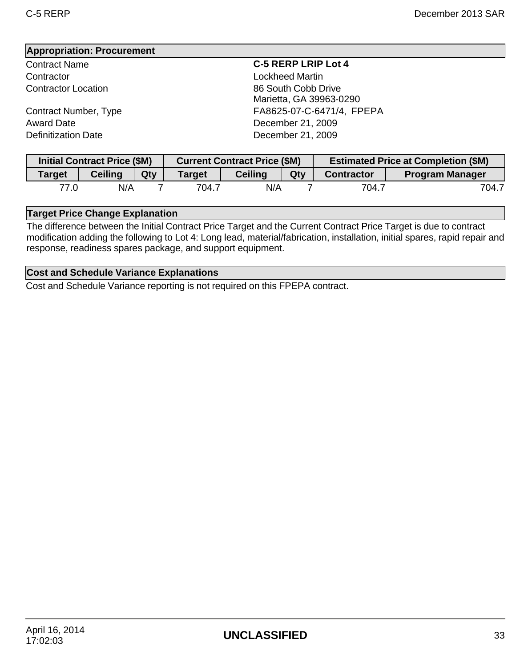Contractor Lockheed Martin

Award Date **December 21, 2009** Definitization Date **December 21, 2009** 

#### Contract Name **C-5 RERP LRIP Lot 4**

**Contractor Location** 66 South Cobb Drive Marietta, GA 39963-0290 Contract Number, Type FA8625-07-C-6471/4, FPEPA

| <b>Initial Contract Price (\$M)</b><br><b>Current Contract Price (\$M)</b> |                |     |               | <b>Estimated Price at Completion (\$M)</b> |     |                   |                        |
|----------------------------------------------------------------------------|----------------|-----|---------------|--------------------------------------------|-----|-------------------|------------------------|
| <b>Target</b>                                                              | <b>Ceiling</b> | Qty | <b>Target</b> | <b>Ceiling</b>                             | Qty | <b>Contractor</b> | <b>Program Manager</b> |
| 77.0                                                                       | N/A            |     | 704.7         | N/A                                        |     | 704.7             | 704.7                  |

### **Target Price Change Explanation**

The difference between the Initial Contract Price Target and the Current Contract Price Target is due to contract modification adding the following to Lot 4: Long lead, material/fabrication, installation, initial spares, rapid repair and response, readiness spares package, and support equipment.

#### **Cost and Schedule Variance Explanations**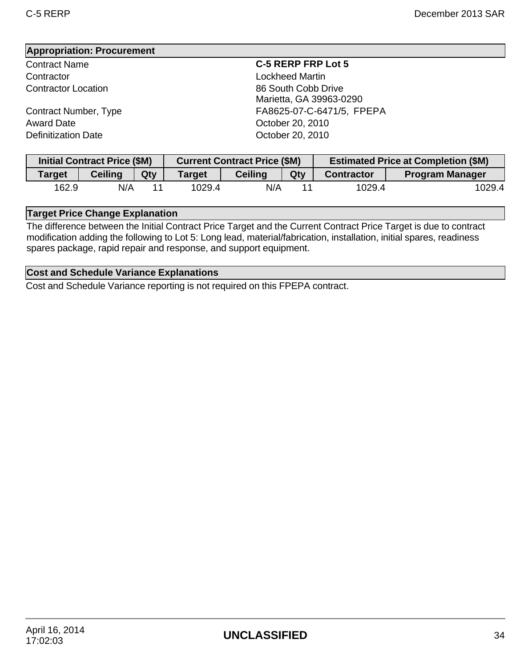Contractor Lockheed Martin

Award Date **Canadian Controller Controller Controller** October 20, 2010 Definitization Date **Definitization** Date **October 20, 2010** 

#### Contract Name **C-5 RERP FRP Lot 5**

**Contractor Location Contractor Location 86 South Cobb Drive** Marietta, GA 39963-0290 Contract Number, Type FA8625-07-C-6471/5, FPEPA

|               |                | <b>Initial Contract Price (\$M)</b><br><b>Current Contract Price (\$M)</b> |        |                |     | <b>Estimated Price at Completion (\$M)</b> |                        |  |
|---------------|----------------|----------------------------------------------------------------------------|--------|----------------|-----|--------------------------------------------|------------------------|--|
| <b>Target</b> | <b>Ceiling</b> | Qty                                                                        | Target | <b>Ceiling</b> | Qty | <b>Contractor</b>                          | <b>Program Manager</b> |  |
| 162.9         | N/A            |                                                                            | 1029.4 | N/A            |     | 1029.4                                     | 1029.4                 |  |

### **Target Price Change Explanation**

The difference between the Initial Contract Price Target and the Current Contract Price Target is due to contract modification adding the following to Lot 5: Long lead, material/fabrication, installation, initial spares, readiness spares package, rapid repair and response, and support equipment.

#### **Cost and Schedule Variance Explanations**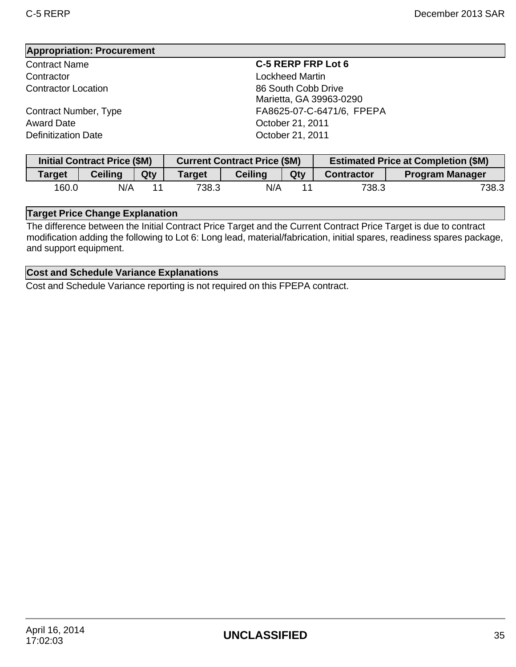Contractor **Contractor** Contractor **Lockheed Martin** 

Award Date **Canadian Controller Controller Controller** October 21, 2011 Definitization Date **Definitization** Date **October 21, 2011** 

Contract Name **C-5 RERP FRP Lot 6**

**Contractor Location Contractor Location 86 South Cobb Drive** Marietta, GA 39963-0290 Contract Number, Type FA8625-07-C-6471/6, FPEPA

|               | <b>Initial Contract Price (\$M)</b> |     | <b>Current Contract Price (\$M)</b> |                |     | <b>Estimated Price at Completion (\$M)</b> |                        |  |
|---------------|-------------------------------------|-----|-------------------------------------|----------------|-----|--------------------------------------------|------------------------|--|
| <b>Target</b> | <b>Ceiling</b>                      | Qty | <b>Target</b>                       | <b>Ceiling</b> | Qty | <b>Contractor</b>                          | <b>Program Manager</b> |  |
| 160.0         | N/A                                 |     | 738.3                               | N/A            |     | 738.3                                      | 738.3                  |  |

### **Target Price Change Explanation**

The difference between the Initial Contract Price Target and the Current Contract Price Target is due to contract modification adding the following to Lot 6: Long lead, material/fabrication, initial spares, readiness spares package, and support equipment.

#### **Cost and Schedule Variance Explanations**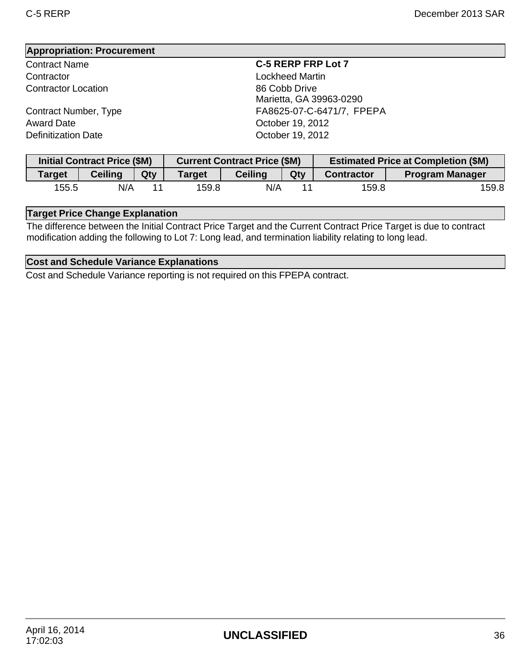Contractor Lockheed Martin **Contractor Location** 86 Cobb Drive

Award Date **Case Community** Corresponding to the Corresponding October 19, 2012 Definitization Date **Definitization** Date **October 19, 2012** 

#### Contract Name **C-5 RERP FRP Lot 7**

Marietta, GA 39963-0290 Contract Number, Type FA8625-07-C-6471/7, FPEPA

| <b>Initial Contract Price (\$M)</b> |                |     | <b>Current Contract Price (\$M)</b> |                |     | <b>Estimated Price at Completion (\$M)</b> |                        |
|-------------------------------------|----------------|-----|-------------------------------------|----------------|-----|--------------------------------------------|------------------------|
| <b>Target</b>                       | <b>Ceiling</b> | Qty | Target                              | <b>Ceiling</b> | Qty | <b>Contractor</b>                          | <b>Program Manager</b> |
| 155.5                               | N/A            |     | 159.8                               | N/A            | 11  | 159.8                                      | 159.8                  |

### **Target Price Change Explanation**

The difference between the Initial Contract Price Target and the Current Contract Price Target is due to contract modification adding the following to Lot 7: Long lead, and termination liability relating to long lead.

### **Cost and Schedule Variance Explanations**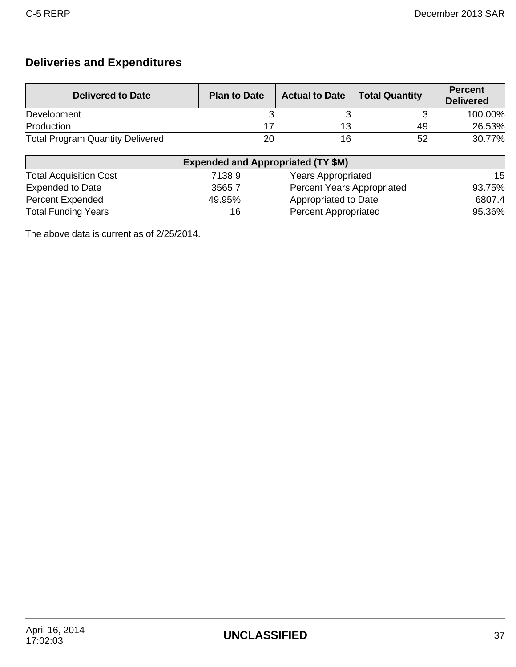# **Deliveries and Expenditures**

| <b>Delivered to Date</b>                | <b>Plan to Date</b> | <b>Actual to Date</b> | <b>Total Quantity</b> | <b>Percent</b><br><b>Delivered</b> |
|-----------------------------------------|---------------------|-----------------------|-----------------------|------------------------------------|
| Development                             |                     |                       |                       | 100.00%                            |
| Production                              |                     | 13                    | 49                    | 26.53%                             |
| <b>Total Program Quantity Delivered</b> | 20                  | 16                    | 52                    | 30.77%                             |

| <b>Expended and Appropriated (TY \$M)</b> |        |                                   |        |  |  |
|-------------------------------------------|--------|-----------------------------------|--------|--|--|
| <b>Total Acquisition Cost</b>             | 7138.9 | <b>Years Appropriated</b>         | 15     |  |  |
| <b>Expended to Date</b>                   | 3565.7 | <b>Percent Years Appropriated</b> | 93.75% |  |  |
| <b>Percent Expended</b>                   | 49.95% | Appropriated to Date              | 6807.4 |  |  |
| <b>Total Funding Years</b>                | 16     | <b>Percent Appropriated</b>       | 95.36% |  |  |

The above data is current as of 2/25/2014.